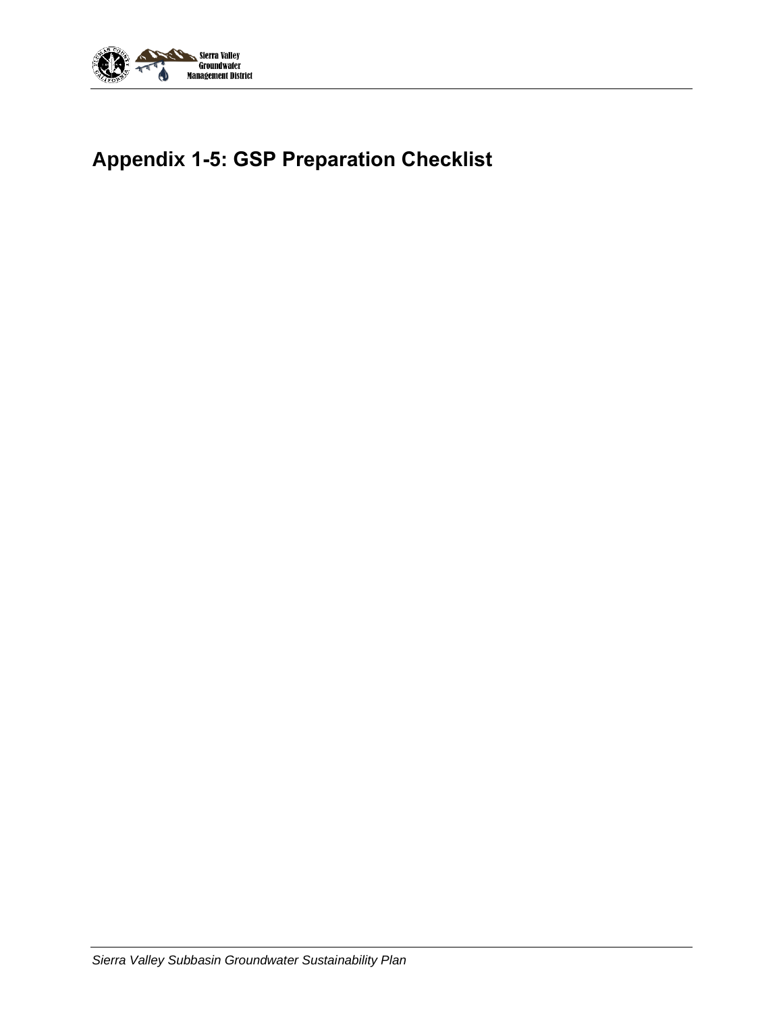

## **Appendix 1-5: GSP Preparation Checklist**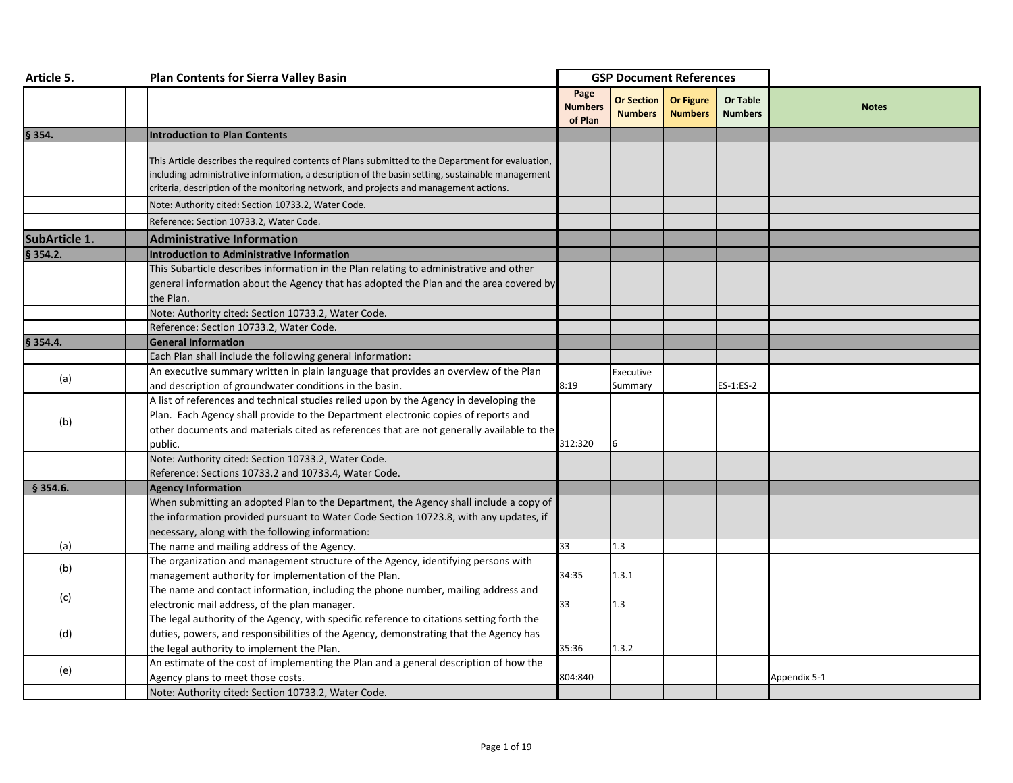| Article 5.           | <b>Plan Contents for Sierra Valley Basin</b>                                                                                                                                                                                                                                                                                                          |                                   |                                     | <b>GSP Document References</b>     |                                   |              |
|----------------------|-------------------------------------------------------------------------------------------------------------------------------------------------------------------------------------------------------------------------------------------------------------------------------------------------------------------------------------------------------|-----------------------------------|-------------------------------------|------------------------------------|-----------------------------------|--------------|
|                      |                                                                                                                                                                                                                                                                                                                                                       | Page<br><b>Numbers</b><br>of Plan | <b>Or Section</b><br><b>Numbers</b> | <b>Or Figure</b><br><b>Numbers</b> | <b>Or Table</b><br><b>Numbers</b> | <b>Notes</b> |
| § 354.               | <b>Introduction to Plan Contents</b>                                                                                                                                                                                                                                                                                                                  |                                   |                                     |                                    |                                   |              |
|                      | This Article describes the required contents of Plans submitted to the Department for evaluation,<br>including administrative information, a description of the basin setting, sustainable management<br>criteria, description of the monitoring network, and projects and management actions.<br>Note: Authority cited: Section 10733.2, Water Code. |                                   |                                     |                                    |                                   |              |
|                      | Reference: Section 10733.2, Water Code.                                                                                                                                                                                                                                                                                                               |                                   |                                     |                                    |                                   |              |
| <b>SubArticle 1.</b> | <b>Administrative Information</b>                                                                                                                                                                                                                                                                                                                     |                                   |                                     |                                    |                                   |              |
| § 354.2.             | Introduction to Administrative Information                                                                                                                                                                                                                                                                                                            |                                   |                                     |                                    |                                   |              |
|                      | This Subarticle describes information in the Plan relating to administrative and other<br>general information about the Agency that has adopted the Plan and the area covered by<br>the Plan.<br>Note: Authority cited: Section 10733.2, Water Code.<br>Reference: Section 10733.2, Water Code.                                                       |                                   |                                     |                                    |                                   |              |
| § 354.4.             | <b>General Information</b>                                                                                                                                                                                                                                                                                                                            |                                   |                                     |                                    |                                   |              |
|                      | Each Plan shall include the following general information:                                                                                                                                                                                                                                                                                            |                                   |                                     |                                    |                                   |              |
| (a)                  | An executive summary written in plain language that provides an overview of the Plan<br>and description of groundwater conditions in the basin.                                                                                                                                                                                                       | 8:19                              | Executive<br>Summary                |                                    | ES-1:ES-2                         |              |
| (b)                  | A list of references and technical studies relied upon by the Agency in developing the<br>Plan. Each Agency shall provide to the Department electronic copies of reports and<br>other documents and materials cited as references that are not generally available to the<br>public.                                                                  | 312:320                           |                                     |                                    |                                   |              |
|                      | Note: Authority cited: Section 10733.2, Water Code.                                                                                                                                                                                                                                                                                                   |                                   |                                     |                                    |                                   |              |
|                      | Reference: Sections 10733.2 and 10733.4, Water Code.                                                                                                                                                                                                                                                                                                  |                                   |                                     |                                    |                                   |              |
| $§$ 354.6.           | <b>Agency Information</b>                                                                                                                                                                                                                                                                                                                             |                                   |                                     |                                    |                                   |              |
|                      | When submitting an adopted Plan to the Department, the Agency shall include a copy of<br>the information provided pursuant to Water Code Section 10723.8, with any updates, if<br>necessary, along with the following information:                                                                                                                    |                                   |                                     |                                    |                                   |              |
| (a)                  | The name and mailing address of the Agency.                                                                                                                                                                                                                                                                                                           | 33                                | 1.3                                 |                                    |                                   |              |
| (b)                  | The organization and management structure of the Agency, identifying persons with<br>management authority for implementation of the Plan.                                                                                                                                                                                                             | 34:35                             | 1.3.1                               |                                    |                                   |              |
| (c)                  | The name and contact information, including the phone number, mailing address and<br>electronic mail address, of the plan manager.                                                                                                                                                                                                                    | 33                                | 1.3                                 |                                    |                                   |              |
| (d)                  | The legal authority of the Agency, with specific reference to citations setting forth the<br>duties, powers, and responsibilities of the Agency, demonstrating that the Agency has<br>the legal authority to implement the Plan.                                                                                                                      | 35:36                             | 1.3.2                               |                                    |                                   |              |
| (e)                  | An estimate of the cost of implementing the Plan and a general description of how the<br>Agency plans to meet those costs.<br>Note: Authority cited: Section 10733.2, Water Code.                                                                                                                                                                     | 804:840                           |                                     |                                    |                                   | Appendix 5-1 |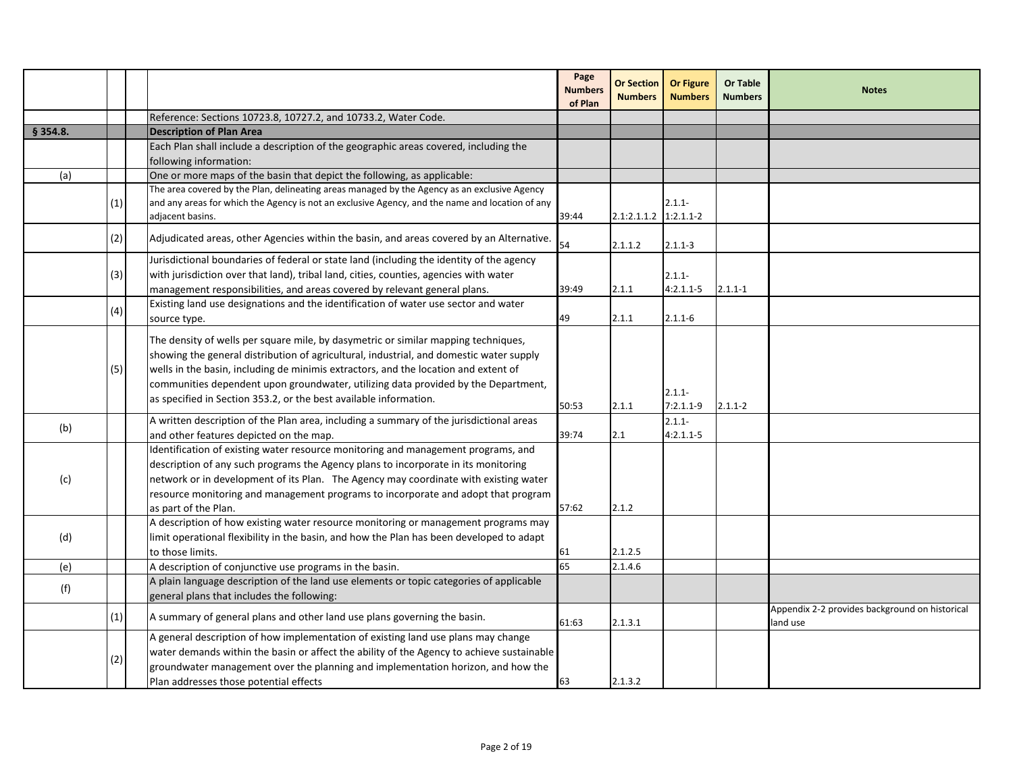|          |     |                                                                                                                                                                                                                                                                                                                                                                                                                                 | Page<br><b>Numbers</b><br>of Plan | <b>Or Section</b><br><b>Numbers</b> | <b>Or Figure</b><br><b>Numbers</b> | <b>Or Table</b><br><b>Numbers</b> | <b>Notes</b>                                               |
|----------|-----|---------------------------------------------------------------------------------------------------------------------------------------------------------------------------------------------------------------------------------------------------------------------------------------------------------------------------------------------------------------------------------------------------------------------------------|-----------------------------------|-------------------------------------|------------------------------------|-----------------------------------|------------------------------------------------------------|
|          |     | Reference: Sections 10723.8, 10727.2, and 10733.2, Water Code.                                                                                                                                                                                                                                                                                                                                                                  |                                   |                                     |                                    |                                   |                                                            |
| § 354.8. |     | <b>Description of Plan Area</b>                                                                                                                                                                                                                                                                                                                                                                                                 |                                   |                                     |                                    |                                   |                                                            |
|          |     | Each Plan shall include a description of the geographic areas covered, including the<br>following information:                                                                                                                                                                                                                                                                                                                  |                                   |                                     |                                    |                                   |                                                            |
| (a)      |     | One or more maps of the basin that depict the following, as applicable:                                                                                                                                                                                                                                                                                                                                                         |                                   |                                     |                                    |                                   |                                                            |
|          | (1) | The area covered by the Plan, delineating areas managed by the Agency as an exclusive Agency<br>and any areas for which the Agency is not an exclusive Agency, and the name and location of any<br>adjacent basins.                                                                                                                                                                                                             | 39:44                             | $2.1:2.1.1.2$ 1:2.1.1-2             | $2.1.1 -$                          |                                   |                                                            |
|          | (2) | Adjudicated areas, other Agencies within the basin, and areas covered by an Alternative.                                                                                                                                                                                                                                                                                                                                        | 54                                | 2.1.1.2                             | $2.1.1 - 3$                        |                                   |                                                            |
|          | (3) | Jurisdictional boundaries of federal or state land (including the identity of the agency<br>with jurisdiction over that land), tribal land, cities, counties, agencies with water                                                                                                                                                                                                                                               | 39:49                             | 2.1.1                               | $2.1.1 -$<br>$4:2.1.1-5$           | $2.1.1 - 1$                       |                                                            |
|          |     | management responsibilities, and areas covered by relevant general plans.<br>Existing land use designations and the identification of water use sector and water                                                                                                                                                                                                                                                                |                                   |                                     |                                    |                                   |                                                            |
|          | (4) | source type.                                                                                                                                                                                                                                                                                                                                                                                                                    | 49                                | 2.1.1                               | $2.1.1 - 6$                        |                                   |                                                            |
|          | (5) | The density of wells per square mile, by dasymetric or similar mapping techniques,<br>showing the general distribution of agricultural, industrial, and domestic water supply<br>wells in the basin, including de minimis extractors, and the location and extent of<br>communities dependent upon groundwater, utilizing data provided by the Department,<br>as specified in Section 353.2, or the best available information. | 50:53                             | 2.1.1                               | $2.1.1 -$<br>$7:2.1.1-9$           | $2.1.1 - 2$                       |                                                            |
| (b)      |     | A written description of the Plan area, including a summary of the jurisdictional areas<br>and other features depicted on the map.                                                                                                                                                                                                                                                                                              | 39:74                             | 2.1                                 | $2.1.1 -$<br>$4:2.1.1-5$           |                                   |                                                            |
| (c)      |     | Identification of existing water resource monitoring and management programs, and<br>description of any such programs the Agency plans to incorporate in its monitoring<br>network or in development of its Plan. The Agency may coordinate with existing water<br>resource monitoring and management programs to incorporate and adopt that program<br>as part of the Plan.                                                    | 57:62                             | 2.1.2                               |                                    |                                   |                                                            |
| (d)      |     | A description of how existing water resource monitoring or management programs may<br>limit operational flexibility in the basin, and how the Plan has been developed to adapt<br>to those limits.                                                                                                                                                                                                                              | 61                                | 2.1.2.5                             |                                    |                                   |                                                            |
| (e)      |     | A description of conjunctive use programs in the basin.                                                                                                                                                                                                                                                                                                                                                                         | 65                                | 2.1.4.6                             |                                    |                                   |                                                            |
| (f)      |     | A plain language description of the land use elements or topic categories of applicable<br>general plans that includes the following:                                                                                                                                                                                                                                                                                           |                                   |                                     |                                    |                                   |                                                            |
|          | (1) | A summary of general plans and other land use plans governing the basin.                                                                                                                                                                                                                                                                                                                                                        | 61:63                             | 2.1.3.1                             |                                    |                                   | Appendix 2-2 provides background on historical<br>land use |
|          | (2) | A general description of how implementation of existing land use plans may change<br>water demands within the basin or affect the ability of the Agency to achieve sustainable<br>groundwater management over the planning and implementation horizon, and how the<br>Plan addresses those potential effects                                                                                                                    | 63                                | 2.1.3.2                             |                                    |                                   |                                                            |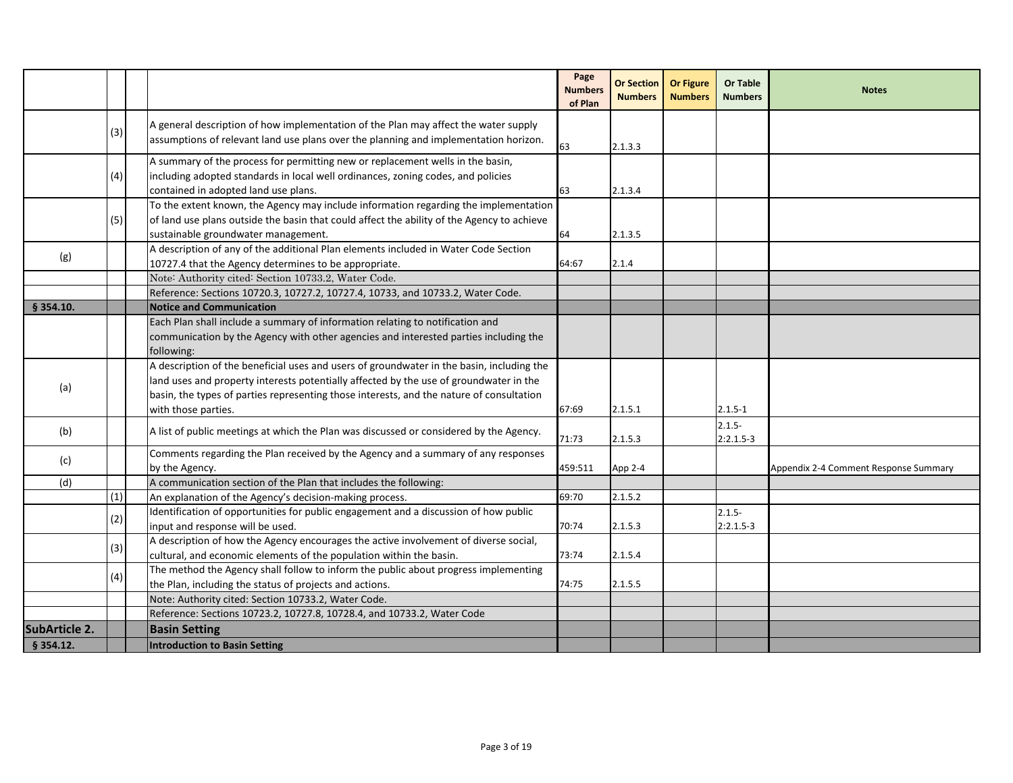|                      |     |                                                                                            | Page<br><b>Numbers</b><br>of Plan | <b>Or Section</b><br><b>Numbers</b> | <b>Or Figure</b><br><b>Numbers</b> | <b>Or Table</b><br><b>Numbers</b> | <b>Notes</b>                          |
|----------------------|-----|--------------------------------------------------------------------------------------------|-----------------------------------|-------------------------------------|------------------------------------|-----------------------------------|---------------------------------------|
|                      |     | A general description of how implementation of the Plan may affect the water supply        |                                   |                                     |                                    |                                   |                                       |
|                      | (3) | assumptions of relevant land use plans over the planning and implementation horizon.       |                                   |                                     |                                    |                                   |                                       |
|                      |     |                                                                                            | 63                                | 2.1.3.3                             |                                    |                                   |                                       |
|                      |     | A summary of the process for permitting new or replacement wells in the basin,             |                                   |                                     |                                    |                                   |                                       |
|                      | (4) | including adopted standards in local well ordinances, zoning codes, and policies           |                                   |                                     |                                    |                                   |                                       |
|                      |     | contained in adopted land use plans.                                                       | 63                                | 2.1.3.4                             |                                    |                                   |                                       |
|                      |     | To the extent known, the Agency may include information regarding the implementation       |                                   |                                     |                                    |                                   |                                       |
|                      | (5) | of land use plans outside the basin that could affect the ability of the Agency to achieve |                                   |                                     |                                    |                                   |                                       |
|                      |     | sustainable groundwater management.                                                        | 64                                | 2.1.3.5                             |                                    |                                   |                                       |
| (g)                  |     | A description of any of the additional Plan elements included in Water Code Section        |                                   |                                     |                                    |                                   |                                       |
|                      |     | 10727.4 that the Agency determines to be appropriate.                                      | 64:67                             | 2.1.4                               |                                    |                                   |                                       |
|                      |     | Note: Authority cited: Section 10733.2, Water Code.                                        |                                   |                                     |                                    |                                   |                                       |
|                      |     | Reference: Sections 10720.3, 10727.2, 10727.4, 10733, and 10733.2, Water Code.             |                                   |                                     |                                    |                                   |                                       |
| $§$ 354.10.          |     | <b>Notice and Communication</b>                                                            |                                   |                                     |                                    |                                   |                                       |
|                      |     | Each Plan shall include a summary of information relating to notification and              |                                   |                                     |                                    |                                   |                                       |
|                      |     | communication by the Agency with other agencies and interested parties including the       |                                   |                                     |                                    |                                   |                                       |
|                      |     | following:                                                                                 |                                   |                                     |                                    |                                   |                                       |
|                      |     | A description of the beneficial uses and users of groundwater in the basin, including the  |                                   |                                     |                                    |                                   |                                       |
| (a)                  |     | land uses and property interests potentially affected by the use of groundwater in the     |                                   |                                     |                                    |                                   |                                       |
|                      |     | basin, the types of parties representing those interests, and the nature of consultation   |                                   |                                     |                                    |                                   |                                       |
|                      |     | with those parties.                                                                        | 67:69                             | 2.1.5.1                             |                                    | $2.1.5 - 1$                       |                                       |
|                      |     | A list of public meetings at which the Plan was discussed or considered by the Agency.     |                                   |                                     |                                    | $2.1.5 -$                         |                                       |
| (b)                  |     |                                                                                            | 71:73                             | 2.1.5.3                             |                                    | $2:2.1.5-3$                       |                                       |
| (c)                  |     | Comments regarding the Plan received by the Agency and a summary of any responses          |                                   |                                     |                                    |                                   |                                       |
|                      |     | by the Agency.                                                                             | 459:511                           | App 2-4                             |                                    |                                   | Appendix 2-4 Comment Response Summary |
| (d)                  |     | A communication section of the Plan that includes the following:                           |                                   |                                     |                                    |                                   |                                       |
|                      | (1) | An explanation of the Agency's decision-making process.                                    | 69:70                             | 2.1.5.2                             |                                    |                                   |                                       |
|                      | (2) | Identification of opportunities for public engagement and a discussion of how public       |                                   |                                     |                                    | $2.1.5 -$                         |                                       |
|                      |     | input and response will be used.                                                           | 70:74                             | 2.1.5.3                             |                                    | $2:2.1.5-3$                       |                                       |
|                      | (3) | A description of how the Agency encourages the active involvement of diverse social,       |                                   |                                     |                                    |                                   |                                       |
|                      |     | cultural, and economic elements of the population within the basin.                        | 73:74                             | 2.1.5.4                             |                                    |                                   |                                       |
|                      |     | The method the Agency shall follow to inform the public about progress implementing        |                                   |                                     |                                    |                                   |                                       |
|                      | (4) | the Plan, including the status of projects and actions.                                    | 74:75                             | 2.1.5.5                             |                                    |                                   |                                       |
|                      |     | Note: Authority cited: Section 10733.2, Water Code.                                        |                                   |                                     |                                    |                                   |                                       |
|                      |     | Reference: Sections 10723.2, 10727.8, 10728.4, and 10733.2, Water Code                     |                                   |                                     |                                    |                                   |                                       |
| <b>SubArticle 2.</b> |     | <b>Basin Setting</b>                                                                       |                                   |                                     |                                    |                                   |                                       |
| § 354.12.            |     | <b>Introduction to Basin Setting</b>                                                       |                                   |                                     |                                    |                                   |                                       |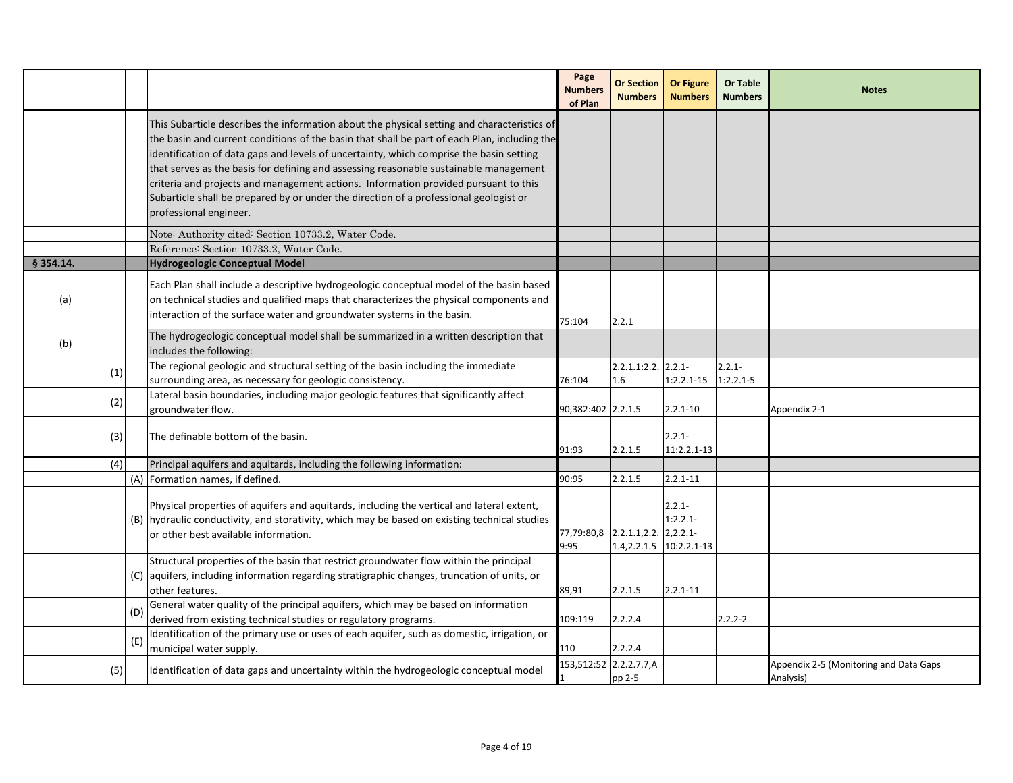|             |     |     |                                                                                                                                                                                                                                                                                                                                                                                                                                                                                                                                                                                           | Page<br><b>Numbers</b><br>of Plan | Or Section<br><b>Numbers</b>                                    | <b>Or Figure</b><br><b>Numbers</b>       | Or Table<br><b>Numbers</b> | <b>Notes</b>                                        |
|-------------|-----|-----|-------------------------------------------------------------------------------------------------------------------------------------------------------------------------------------------------------------------------------------------------------------------------------------------------------------------------------------------------------------------------------------------------------------------------------------------------------------------------------------------------------------------------------------------------------------------------------------------|-----------------------------------|-----------------------------------------------------------------|------------------------------------------|----------------------------|-----------------------------------------------------|
|             |     |     | This Subarticle describes the information about the physical setting and characteristics of<br>the basin and current conditions of the basin that shall be part of each Plan, including the<br>identification of data gaps and levels of uncertainty, which comprise the basin setting<br>that serves as the basis for defining and assessing reasonable sustainable management<br>criteria and projects and management actions. Information provided pursuant to this<br>Subarticle shall be prepared by or under the direction of a professional geologist or<br>professional engineer. |                                   |                                                                 |                                          |                            |                                                     |
|             |     |     | Note: Authority cited: Section 10733.2, Water Code.                                                                                                                                                                                                                                                                                                                                                                                                                                                                                                                                       |                                   |                                                                 |                                          |                            |                                                     |
| $§$ 354.14. |     |     | Reference: Section 10733.2. Water Code.<br>Hydrogeologic Conceptual Model                                                                                                                                                                                                                                                                                                                                                                                                                                                                                                                 |                                   |                                                                 |                                          |                            |                                                     |
| (a)         |     |     | Each Plan shall include a descriptive hydrogeologic conceptual model of the basin based<br>on technical studies and qualified maps that characterizes the physical components and<br>interaction of the surface water and groundwater systems in the basin.                                                                                                                                                                                                                                                                                                                               | 75:104                            | 2.2.1                                                           |                                          |                            |                                                     |
| (b)         |     |     | The hydrogeologic conceptual model shall be summarized in a written description that<br>includes the following:                                                                                                                                                                                                                                                                                                                                                                                                                                                                           |                                   |                                                                 |                                          |                            |                                                     |
|             | (1) |     | The regional geologic and structural setting of the basin including the immediate<br>surrounding area, as necessary for geologic consistency.                                                                                                                                                                                                                                                                                                                                                                                                                                             | 76:104                            | 2.2.1.1:2.2. 2.2.1-<br>1.6                                      | 1:2.2.1-15                               | $2.2.1 -$<br>$1:2.2.1-5$   |                                                     |
|             | (2) |     | Lateral basin boundaries, including major geologic features that significantly affect                                                                                                                                                                                                                                                                                                                                                                                                                                                                                                     |                                   |                                                                 |                                          |                            |                                                     |
|             | (3) |     | groundwater flow.<br>The definable bottom of the basin.                                                                                                                                                                                                                                                                                                                                                                                                                                                                                                                                   | 90,382:402 2.2.1.5<br>91:93       | 2.2.1.5                                                         | $2.2.1 - 10$<br>$2.2.1 -$<br>11:2.2.1-13 |                            | Appendix 2-1                                        |
|             | (4) |     | Principal aquifers and aquitards, including the following information:                                                                                                                                                                                                                                                                                                                                                                                                                                                                                                                    |                                   |                                                                 |                                          |                            |                                                     |
|             |     |     | (A) Formation names, if defined.                                                                                                                                                                                                                                                                                                                                                                                                                                                                                                                                                          | 90:95                             | 2.2.1.5                                                         | $2.2.1 - 11$                             |                            |                                                     |
|             |     |     | Physical properties of aquifers and aquitards, including the vertical and lateral extent,<br>(B) hydraulic conductivity, and storativity, which may be based on existing technical studies<br>lor other best available information.                                                                                                                                                                                                                                                                                                                                                       | 9:95                              | 77,79:80,8 2.2.1.1,2.2. 2,2.2.1-<br>1.4, 2.2. 1.5 10: 2.2. 1-13 | $2.2.1 -$<br>$1:2.2.1-$                  |                            |                                                     |
|             |     |     | Structural properties of the basin that restrict groundwater flow within the principal<br>(C) aquifers, including information regarding stratigraphic changes, truncation of units, or<br>other features.                                                                                                                                                                                                                                                                                                                                                                                 | 89,91                             | 2.2.1.5                                                         | $2.2.1 - 11$                             |                            |                                                     |
|             |     | (D) | General water quality of the principal aquifers, which may be based on information<br>derived from existing technical studies or regulatory programs.                                                                                                                                                                                                                                                                                                                                                                                                                                     | 109:119                           | 2.2.2.4                                                         |                                          | $2.2.2 - 2$                |                                                     |
|             |     | (E) | Identification of the primary use or uses of each aquifer, such as domestic, irrigation, or<br>municipal water supply.                                                                                                                                                                                                                                                                                                                                                                                                                                                                    | 110                               | 2.2.2.4                                                         |                                          |                            |                                                     |
|             | (5) |     | Identification of data gaps and uncertainty within the hydrogeologic conceptual model                                                                                                                                                                                                                                                                                                                                                                                                                                                                                                     |                                   | 153,512:52 2.2.2.7.7,A<br>pp 2-5                                |                                          |                            | Appendix 2-5 (Monitoring and Data Gaps<br>Analysis) |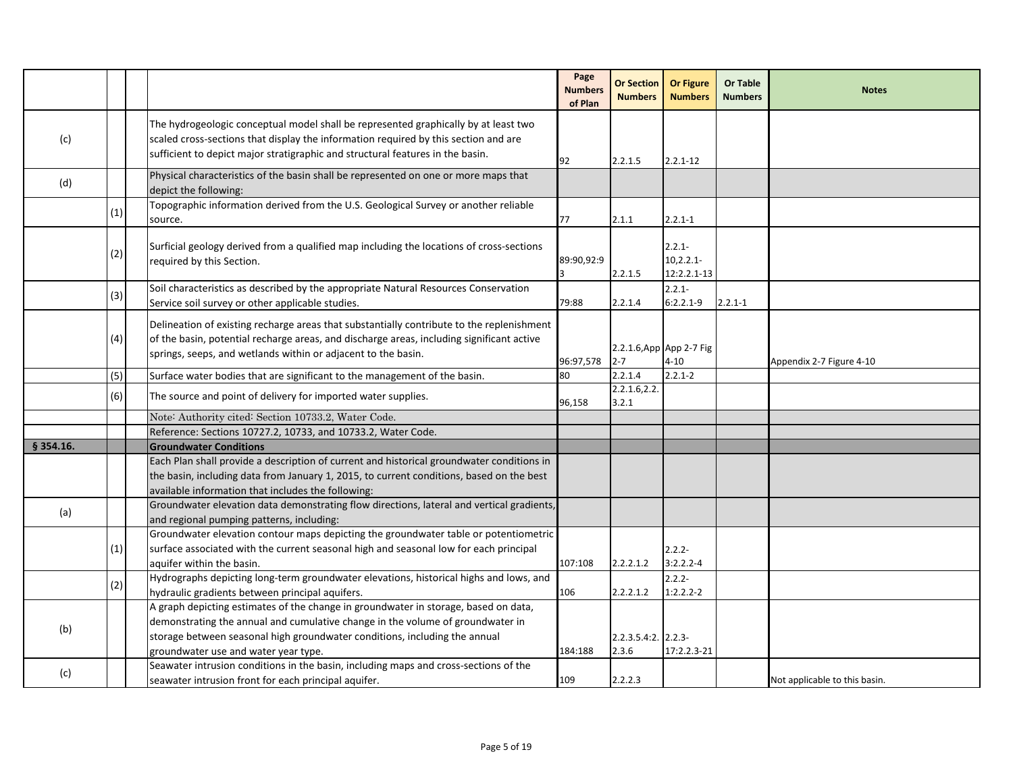|             |     |                                                                                                                                                                                                                                                                                             | Page<br><b>Numbers</b><br>of Plan | <b>Or Section</b><br><b>Numbers</b> | <b>Or Figure</b><br><b>Numbers</b>        | <b>Or Table</b><br><b>Numbers</b> | <b>Notes</b>                  |
|-------------|-----|---------------------------------------------------------------------------------------------------------------------------------------------------------------------------------------------------------------------------------------------------------------------------------------------|-----------------------------------|-------------------------------------|-------------------------------------------|-----------------------------------|-------------------------------|
| (c)         |     | The hydrogeologic conceptual model shall be represented graphically by at least two<br>scaled cross-sections that display the information required by this section and are<br>sufficient to depict major stratigraphic and structural features in the basin.                                | 92                                | 2.2.1.5                             | $2.2.1 - 12$                              |                                   |                               |
| (d)         |     | Physical characteristics of the basin shall be represented on one or more maps that<br>depict the following:                                                                                                                                                                                |                                   |                                     |                                           |                                   |                               |
|             | (1) | Topographic information derived from the U.S. Geological Survey or another reliable<br>source.                                                                                                                                                                                              | 77                                | 2.1.1                               | $2.2.1 - 1$                               |                                   |                               |
|             | (2) | Surficial geology derived from a qualified map including the locations of cross-sections<br>required by this Section.                                                                                                                                                                       | 89:90,92:9                        | 2.2.1.5                             | $2.2.1 -$<br>$10, 2.2.1 -$<br>12:2.2.1-13 |                                   |                               |
|             | (3) | Soil characteristics as described by the appropriate Natural Resources Conservation<br>Service soil survey or other applicable studies.                                                                                                                                                     | 79:88                             | 2.2.1.4                             | $2.2.1 -$<br>$6:2.2.1-9$                  | $2.2.1 - 1$                       |                               |
|             | (4) | Delineation of existing recharge areas that substantially contribute to the replenishment<br>of the basin, potential recharge areas, and discharge areas, including significant active<br>springs, seeps, and wetlands within or adjacent to the basin.                                     | 96:97,578                         | $2 - 7$                             | 2.2.1.6, App App 2-7 Fig<br>$4 - 10$      |                                   | Appendix 2-7 Figure 4-10      |
|             | (5) | Surface water bodies that are significant to the management of the basin.                                                                                                                                                                                                                   | 80                                | 2.2.1.4                             | $2.2.1 - 2$                               |                                   |                               |
|             | (6) | The source and point of delivery for imported water supplies.                                                                                                                                                                                                                               | 96,158                            | 2.2.1.6, 2.2.<br>3.2.1              |                                           |                                   |                               |
|             |     | Note: Authority cited: Section 10733.2, Water Code.                                                                                                                                                                                                                                         |                                   |                                     |                                           |                                   |                               |
|             |     | Reference: Sections 10727.2, 10733, and 10733.2, Water Code.                                                                                                                                                                                                                                |                                   |                                     |                                           |                                   |                               |
| $§$ 354.16. |     | <b>Groundwater Conditions</b>                                                                                                                                                                                                                                                               |                                   |                                     |                                           |                                   |                               |
|             |     | Each Plan shall provide a description of current and historical groundwater conditions in<br>the basin, including data from January 1, 2015, to current conditions, based on the best<br>available information that includes the following:                                                 |                                   |                                     |                                           |                                   |                               |
| (a)         |     | Groundwater elevation data demonstrating flow directions, lateral and vertical gradients,<br>and regional pumping patterns, including:                                                                                                                                                      |                                   |                                     |                                           |                                   |                               |
|             | (1) | Groundwater elevation contour maps depicting the groundwater table or potentiometric<br>surface associated with the current seasonal high and seasonal low for each principal<br>aquifer within the basin.                                                                                  | 107:108                           | 2.2.2.1.2                           | $2.2.2 -$<br>$3:2.2.2-4$                  |                                   |                               |
|             | (2) | Hydrographs depicting long-term groundwater elevations, historical highs and lows, and<br>hydraulic gradients between principal aquifers.                                                                                                                                                   | 106                               | 2.2.2.1.2                           | $2.2.2 -$<br>$1:2.2.2-2$                  |                                   |                               |
| (b)         |     | A graph depicting estimates of the change in groundwater in storage, based on data,<br>demonstrating the annual and cumulative change in the volume of groundwater in<br>storage between seasonal high groundwater conditions, including the annual<br>groundwater use and water year type. | 184:188                           | 2.2.3.5.4:2. 2.2.3-<br>2.3.6        | 17:2.2.3-21                               |                                   |                               |
| (c)         |     | Seawater intrusion conditions in the basin, including maps and cross-sections of the<br>seawater intrusion front for each principal aquifer.                                                                                                                                                | 109                               | 2.2.2.3                             |                                           |                                   | Not applicable to this basin. |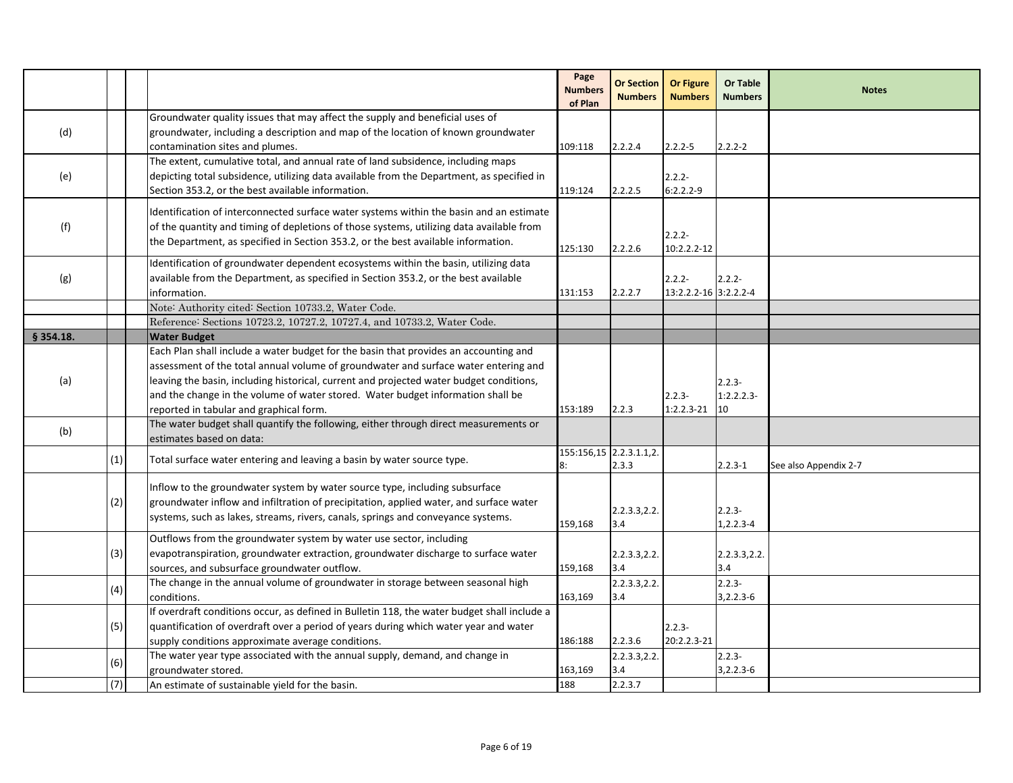|             |     |                                                                                                                                                                                                                                                                          | Page<br><b>Numbers</b><br>of Plan | <b>Or Section</b><br><b>Numbers</b> | <b>Or Figure</b><br><b>Numbers</b> | <b>Or Table</b><br><b>Numbers</b> | <b>Notes</b>          |
|-------------|-----|--------------------------------------------------------------------------------------------------------------------------------------------------------------------------------------------------------------------------------------------------------------------------|-----------------------------------|-------------------------------------|------------------------------------|-----------------------------------|-----------------------|
|             |     | Groundwater quality issues that may affect the supply and beneficial uses of                                                                                                                                                                                             |                                   |                                     |                                    |                                   |                       |
| (d)         |     | groundwater, including a description and map of the location of known groundwater                                                                                                                                                                                        |                                   |                                     |                                    |                                   |                       |
|             |     | contamination sites and plumes.                                                                                                                                                                                                                                          | 109:118                           | 2.2.2.4                             | $2.2.2 - 5$                        | $2.2.2 - 2$                       |                       |
|             |     | The extent, cumulative total, and annual rate of land subsidence, including maps                                                                                                                                                                                         |                                   |                                     |                                    |                                   |                       |
| (e)         |     | depicting total subsidence, utilizing data available from the Department, as specified in                                                                                                                                                                                |                                   |                                     | $2.2.2 -$                          |                                   |                       |
|             |     | Section 353.2, or the best available information.                                                                                                                                                                                                                        | 119:124                           | 2.2.2.5                             | $6:2.2.2-9$                        |                                   |                       |
| (f)         |     | Identification of interconnected surface water systems within the basin and an estimate<br>of the quantity and timing of depletions of those systems, utilizing data available from<br>the Department, as specified in Section 353.2, or the best available information. | 125:130                           | 2.2.2.6                             | $2.2.2 -$<br>10:2.2.2-12           |                                   |                       |
|             |     | Identification of groundwater dependent ecosystems within the basin, utilizing data                                                                                                                                                                                      |                                   |                                     |                                    |                                   |                       |
| (g)         |     | available from the Department, as specified in Section 353.2, or the best available                                                                                                                                                                                      |                                   |                                     | $2.2.2 -$                          | $2.2.2 -$                         |                       |
|             |     | information.                                                                                                                                                                                                                                                             | 131:153                           | 2.2.2.7                             | 13:2.2.2-16 3:2.2.2-4              |                                   |                       |
|             |     | Note: Authority cited: Section 10733.2, Water Code.                                                                                                                                                                                                                      |                                   |                                     |                                    |                                   |                       |
|             |     | Reference: Sections 10723.2, 10727.2, 10727.4, and 10733.2, Water Code.                                                                                                                                                                                                  |                                   |                                     |                                    |                                   |                       |
| $§$ 354.18. |     | <b>Water Budget</b>                                                                                                                                                                                                                                                      |                                   |                                     |                                    |                                   |                       |
|             |     | Each Plan shall include a water budget for the basin that provides an accounting and                                                                                                                                                                                     |                                   |                                     |                                    |                                   |                       |
|             |     | assessment of the total annual volume of groundwater and surface water entering and                                                                                                                                                                                      |                                   |                                     |                                    |                                   |                       |
| (a)         |     | leaving the basin, including historical, current and projected water budget conditions,                                                                                                                                                                                  |                                   |                                     |                                    | $2.2.3 -$                         |                       |
|             |     | and the change in the volume of water stored. Water budget information shall be                                                                                                                                                                                          |                                   |                                     | $2.2.3 -$                          | $1:2.2.2.3-$                      |                       |
|             |     | reported in tabular and graphical form.                                                                                                                                                                                                                                  | 153:189                           | 2.2.3                               | $1:2.2.3-21$                       | 10                                |                       |
| (b)         |     | The water budget shall quantify the following, either through direct measurements or<br>estimates based on data:                                                                                                                                                         |                                   |                                     |                                    |                                   |                       |
|             | (1) | Total surface water entering and leaving a basin by water source type.                                                                                                                                                                                                   |                                   | 155:156,15 2.2.3.1.1,2.             |                                    |                                   |                       |
|             |     |                                                                                                                                                                                                                                                                          | 8:                                | 2.3.3                               |                                    | $2.2.3 - 1$                       | See also Appendix 2-7 |
|             | (2) | Inflow to the groundwater system by water source type, including subsurface<br>groundwater inflow and infiltration of precipitation, applied water, and surface water<br>systems, such as lakes, streams, rivers, canals, springs and conveyance systems.                | 159,168                           | 2.2.3.3, 2.2.<br>3.4                |                                    | $2.2.3 -$<br>$1, 2.2.3 - 4$       |                       |
|             |     | Outflows from the groundwater system by water use sector, including                                                                                                                                                                                                      |                                   |                                     |                                    |                                   |                       |
|             | (3) | evapotranspiration, groundwater extraction, groundwater discharge to surface water                                                                                                                                                                                       |                                   | 2.2.3.3, 2.2.                       |                                    | 2.2.3.3, 2.2.                     |                       |
|             |     | sources, and subsurface groundwater outflow.                                                                                                                                                                                                                             | 159,168                           | 3.4                                 |                                    | 3.4                               |                       |
|             | (4) | The change in the annual volume of groundwater in storage between seasonal high                                                                                                                                                                                          |                                   | 2.2.3.3, 2.2.                       |                                    | $2.2.3 -$                         |                       |
|             |     | conditions.                                                                                                                                                                                                                                                              | 163,169                           | 3.4                                 |                                    | $3,2.2.3-6$                       |                       |
|             |     | If overdraft conditions occur, as defined in Bulletin 118, the water budget shall include a                                                                                                                                                                              |                                   |                                     |                                    |                                   |                       |
|             | (5) | quantification of overdraft over a period of years during which water year and water                                                                                                                                                                                     |                                   |                                     | $2.2.3 -$                          |                                   |                       |
|             |     | supply conditions approximate average conditions.                                                                                                                                                                                                                        | 186:188                           | 2.2.3.6                             | 20:2.2.3-21                        |                                   |                       |
|             | (6) | The water year type associated with the annual supply, demand, and change in                                                                                                                                                                                             |                                   | 2.2.3.3, 2.2.                       |                                    | $2.2.3 -$                         |                       |
|             |     | groundwater stored.                                                                                                                                                                                                                                                      | 163,169                           | 3.4                                 |                                    | $3, 2.2.3 - 6$                    |                       |
|             | (7) | An estimate of sustainable yield for the basin.                                                                                                                                                                                                                          | 188                               | 2.2.3.7                             |                                    |                                   |                       |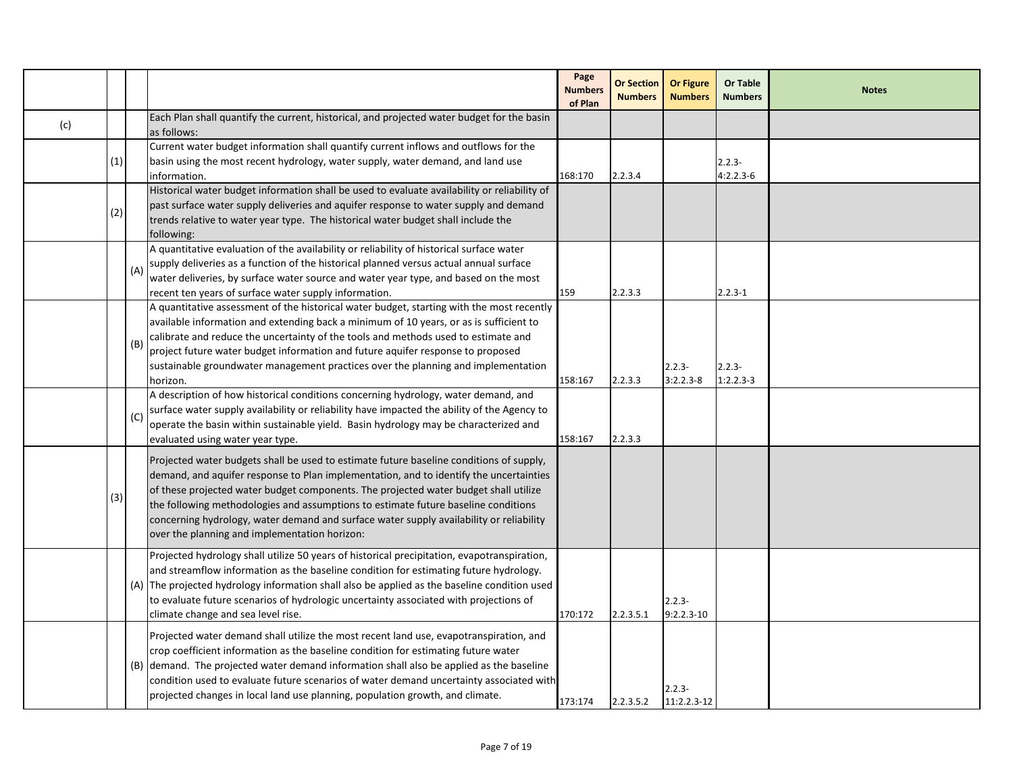|     |     |     |                                                                                                                                                                                                                                                                                                                                                                                                                                                                                                             | Page<br><b>Numbers</b><br>of Plan | Or Section<br><b>Numbers</b> | <b>Or Figure</b><br><b>Numbers</b> | <b>Or Table</b><br><b>Numbers</b> | <b>Notes</b> |
|-----|-----|-----|-------------------------------------------------------------------------------------------------------------------------------------------------------------------------------------------------------------------------------------------------------------------------------------------------------------------------------------------------------------------------------------------------------------------------------------------------------------------------------------------------------------|-----------------------------------|------------------------------|------------------------------------|-----------------------------------|--------------|
| (c) |     |     | Each Plan shall quantify the current, historical, and projected water budget for the basin<br>as follows:                                                                                                                                                                                                                                                                                                                                                                                                   |                                   |                              |                                    |                                   |              |
|     | (1) |     | Current water budget information shall quantify current inflows and outflows for the<br>basin using the most recent hydrology, water supply, water demand, and land use<br>information.                                                                                                                                                                                                                                                                                                                     | 168:170                           | 2.2.3.4                      |                                    | $2.2.3 -$<br>$4:2.2.3-6$          |              |
|     | (2) |     | Historical water budget information shall be used to evaluate availability or reliability of<br>past surface water supply deliveries and aquifer response to water supply and demand<br>trends relative to water year type. The historical water budget shall include the<br>following:                                                                                                                                                                                                                     |                                   |                              |                                    |                                   |              |
|     |     | (A) | A quantitative evaluation of the availability or reliability of historical surface water<br>supply deliveries as a function of the historical planned versus actual annual surface<br>water deliveries, by surface water source and water year type, and based on the most<br>recent ten years of surface water supply information.                                                                                                                                                                         | 159                               | 2.2.3.3                      |                                    | $2.2.3 - 1$                       |              |
|     |     | (B) | A quantitative assessment of the historical water budget, starting with the most recently<br>available information and extending back a minimum of 10 years, or as is sufficient to<br>calibrate and reduce the uncertainty of the tools and methods used to estimate and<br>project future water budget information and future aquifer response to proposed<br>sustainable groundwater management practices over the planning and implementation<br>horizon.                                               | 158:167                           | 2.2.3.3                      | $2.2.3 -$<br>$3:2.2.3-8$           | $2.2.3 -$<br>$1:2.2.3-3$          |              |
|     |     | (C) | A description of how historical conditions concerning hydrology, water demand, and<br>surface water supply availability or reliability have impacted the ability of the Agency to<br>operate the basin within sustainable yield. Basin hydrology may be characterized and<br>evaluated using water year type.                                                                                                                                                                                               | 158:167                           | 2.2.3.3                      |                                    |                                   |              |
|     | (3) |     | Projected water budgets shall be used to estimate future baseline conditions of supply,<br>demand, and aquifer response to Plan implementation, and to identify the uncertainties<br>of these projected water budget components. The projected water budget shall utilize<br>the following methodologies and assumptions to estimate future baseline conditions<br>concerning hydrology, water demand and surface water supply availability or reliability<br>over the planning and implementation horizon: |                                   |                              |                                    |                                   |              |
|     |     |     | Projected hydrology shall utilize 50 years of historical precipitation, evapotranspiration,<br>and streamflow information as the baseline condition for estimating future hydrology.<br>(A) The projected hydrology information shall also be applied as the baseline condition used<br>to evaluate future scenarios of hydrologic uncertainty associated with projections of<br>climate change and sea level rise.                                                                                         | 170:172                           | 2.2.3.5.1                    | $2.2.3 -$<br>$9:2.2.3-10$          |                                   |              |
|     |     |     | Projected water demand shall utilize the most recent land use, evapotranspiration, and<br>crop coefficient information as the baseline condition for estimating future water<br>(B) demand. The projected water demand information shall also be applied as the baseline<br>condition used to evaluate future scenarios of water demand uncertainty associated with<br>projected changes in local land use planning, population growth, and climate.                                                        | 173:174                           | 2.2.3.5.2                    | $2.2.3 -$<br>11:2.2.3-12           |                                   |              |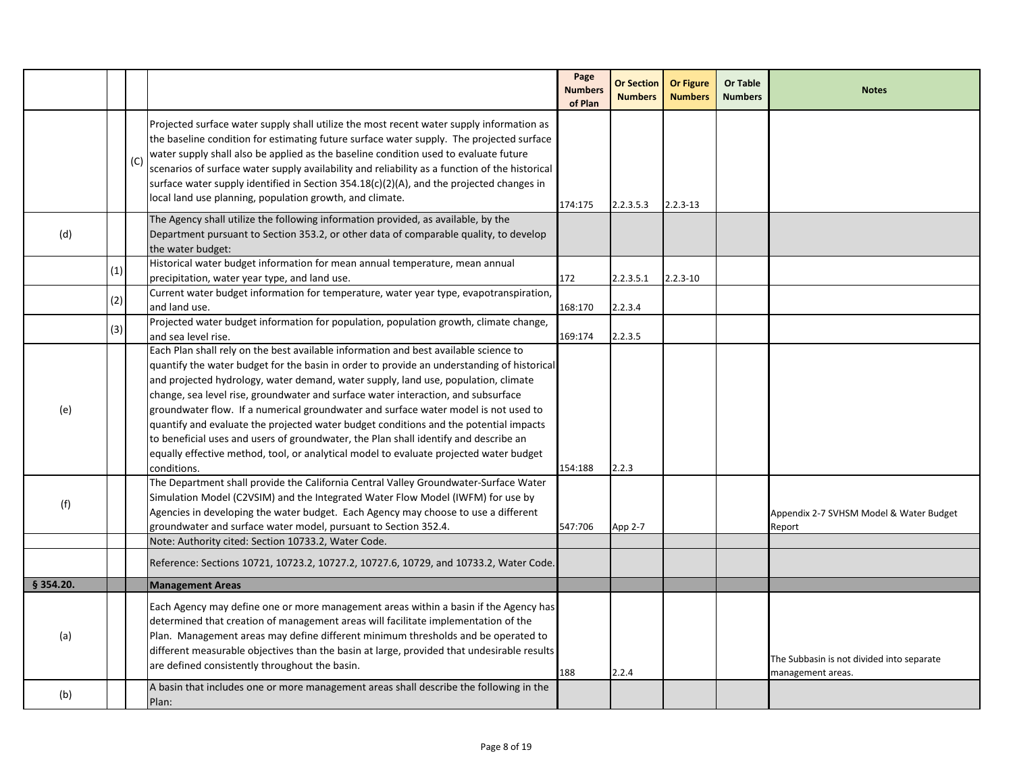|             |     |     |                                                                                                                                                                                                                                                                                                                                                                                                                                                                                                                                        | Page<br><b>Numbers</b><br>of Plan | <b>Or Section</b><br><b>Numbers</b> | Or Figure<br><b>Numbers</b> | Or Table<br><b>Numbers</b> | <b>Notes</b>                                                   |
|-------------|-----|-----|----------------------------------------------------------------------------------------------------------------------------------------------------------------------------------------------------------------------------------------------------------------------------------------------------------------------------------------------------------------------------------------------------------------------------------------------------------------------------------------------------------------------------------------|-----------------------------------|-------------------------------------|-----------------------------|----------------------------|----------------------------------------------------------------|
|             |     | (C) | Projected surface water supply shall utilize the most recent water supply information as<br>the baseline condition for estimating future surface water supply. The projected surface<br>water supply shall also be applied as the baseline condition used to evaluate future<br>scenarios of surface water supply availability and reliability as a function of the historical<br>surface water supply identified in Section 354.18(c)(2)(A), and the projected changes in<br>local land use planning, population growth, and climate. | 174:175                           | 2.2.3.5.3                           | $2.2.3 - 13$                |                            |                                                                |
| (d)         |     |     | The Agency shall utilize the following information provided, as available, by the<br>Department pursuant to Section 353.2, or other data of comparable quality, to develop<br>the water budget:                                                                                                                                                                                                                                                                                                                                        |                                   |                                     |                             |                            |                                                                |
|             | (1) |     | Historical water budget information for mean annual temperature, mean annual<br>precipitation, water year type, and land use.                                                                                                                                                                                                                                                                                                                                                                                                          | 172                               | 2.2.3.5.1                           | $2.2.3 - 10$                |                            |                                                                |
|             | (2) |     | Current water budget information for temperature, water year type, evapotranspiration,<br>and land use.                                                                                                                                                                                                                                                                                                                                                                                                                                | 168:170                           | 2.2.3.4                             |                             |                            |                                                                |
|             | (3) |     | Projected water budget information for population, population growth, climate change,<br>and sea level rise.                                                                                                                                                                                                                                                                                                                                                                                                                           | 169:174                           | 2.2.3.5                             |                             |                            |                                                                |
| (e)         |     |     | Each Plan shall rely on the best available information and best available science to<br>quantify the water budget for the basin in order to provide an understanding of historical<br>and projected hydrology, water demand, water supply, land use, population, climate<br>change, sea level rise, groundwater and surface water interaction, and subsurface<br>groundwater flow. If a numerical groundwater and surface water model is not used to                                                                                   |                                   |                                     |                             |                            |                                                                |
|             |     |     | quantify and evaluate the projected water budget conditions and the potential impacts<br>to beneficial uses and users of groundwater, the Plan shall identify and describe an<br>equally effective method, tool, or analytical model to evaluate projected water budget<br>conditions.                                                                                                                                                                                                                                                 | 154:188                           | 2.2.3                               |                             |                            |                                                                |
| (f)         |     |     | The Department shall provide the California Central Valley Groundwater-Surface Water<br>Simulation Model (C2VSIM) and the Integrated Water Flow Model (IWFM) for use by<br>Agencies in developing the water budget. Each Agency may choose to use a different<br>groundwater and surface water model, pursuant to Section 352.4.<br>Note: Authority cited: Section 10733.2, Water Code.                                                                                                                                                | 547:706                           | App 2-7                             |                             |                            | Appendix 2-7 SVHSM Model & Water Budget<br>Report              |
|             |     |     | Reference: Sections 10721, 10723.2, 10727.2, 10727.6, 10729, and 10733.2, Water Code.                                                                                                                                                                                                                                                                                                                                                                                                                                                  |                                   |                                     |                             |                            |                                                                |
| $§$ 354.20. |     |     | <b>Management Areas</b>                                                                                                                                                                                                                                                                                                                                                                                                                                                                                                                |                                   |                                     |                             |                            |                                                                |
| (a)         |     |     | Each Agency may define one or more management areas within a basin if the Agency has<br>determined that creation of management areas will facilitate implementation of the<br>Plan. Management areas may define different minimum thresholds and be operated to<br>different measurable objectives than the basin at large, provided that undesirable results<br>are defined consistently throughout the basin.                                                                                                                        | 188                               | 2.2.4                               |                             |                            | The Subbasin is not divided into separate<br>management areas. |
| (b)         |     |     | A basin that includes one or more management areas shall describe the following in the<br>Plan:                                                                                                                                                                                                                                                                                                                                                                                                                                        |                                   |                                     |                             |                            |                                                                |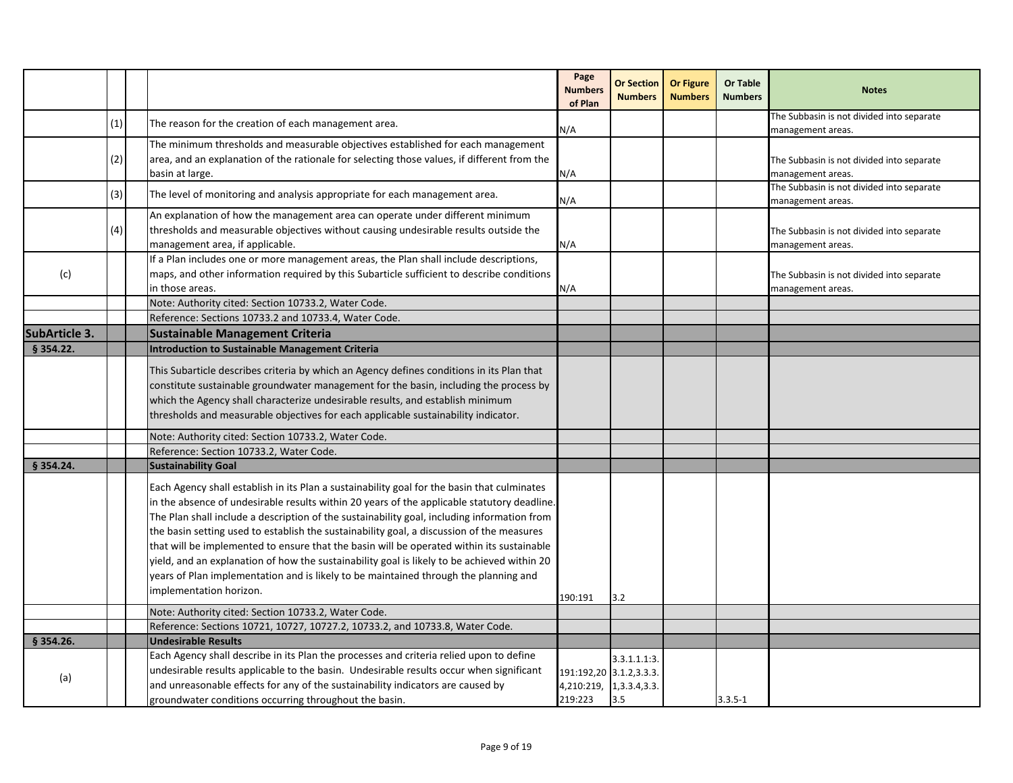|                      |     |                                                                                                                                                                                                                                                                                                                                                                                                                                                                                                                                                                                                                                                                                                       | Page<br><b>Numbers</b><br>of Plan                             | <b>Or Section</b><br><b>Numbers</b> | <b>Or Figure</b><br><b>Numbers</b> | Or Table<br><b>Numbers</b> | <b>Notes</b>                                                   |
|----------------------|-----|-------------------------------------------------------------------------------------------------------------------------------------------------------------------------------------------------------------------------------------------------------------------------------------------------------------------------------------------------------------------------------------------------------------------------------------------------------------------------------------------------------------------------------------------------------------------------------------------------------------------------------------------------------------------------------------------------------|---------------------------------------------------------------|-------------------------------------|------------------------------------|----------------------------|----------------------------------------------------------------|
|                      | (1) | The reason for the creation of each management area.                                                                                                                                                                                                                                                                                                                                                                                                                                                                                                                                                                                                                                                  | N/A                                                           |                                     |                                    |                            | The Subbasin is not divided into separate<br>management areas. |
|                      | (2) | The minimum thresholds and measurable objectives established for each management<br>area, and an explanation of the rationale for selecting those values, if different from the<br>basin at large.                                                                                                                                                                                                                                                                                                                                                                                                                                                                                                    | N/A                                                           |                                     |                                    |                            | The Subbasin is not divided into separate<br>management areas. |
|                      | (3) | The level of monitoring and analysis appropriate for each management area.                                                                                                                                                                                                                                                                                                                                                                                                                                                                                                                                                                                                                            | N/A                                                           |                                     |                                    |                            | The Subbasin is not divided into separate<br>management areas. |
|                      | (4) | An explanation of how the management area can operate under different minimum<br>thresholds and measurable objectives without causing undesirable results outside the<br>management area, if applicable.                                                                                                                                                                                                                                                                                                                                                                                                                                                                                              | N/A                                                           |                                     |                                    |                            | The Subbasin is not divided into separate<br>management areas. |
| (c)                  |     | If a Plan includes one or more management areas, the Plan shall include descriptions,<br>maps, and other information required by this Subarticle sufficient to describe conditions<br>in those areas.<br>Note: Authority cited: Section 10733.2, Water Code.                                                                                                                                                                                                                                                                                                                                                                                                                                          | N/A                                                           |                                     |                                    |                            | The Subbasin is not divided into separate<br>management areas. |
| <b>SubArticle 3.</b> |     | Reference: Sections 10733.2 and 10733.4, Water Code.<br><b>Sustainable Management Criteria</b>                                                                                                                                                                                                                                                                                                                                                                                                                                                                                                                                                                                                        |                                                               |                                     |                                    |                            |                                                                |
| § 354.22.            |     | <b>Introduction to Sustainable Management Criteria</b>                                                                                                                                                                                                                                                                                                                                                                                                                                                                                                                                                                                                                                                |                                                               |                                     |                                    |                            |                                                                |
|                      |     | This Subarticle describes criteria by which an Agency defines conditions in its Plan that<br>constitute sustainable groundwater management for the basin, including the process by<br>which the Agency shall characterize undesirable results, and establish minimum<br>thresholds and measurable objectives for each applicable sustainability indicator.                                                                                                                                                                                                                                                                                                                                            |                                                               |                                     |                                    |                            |                                                                |
|                      |     | Note: Authority cited: Section 10733.2, Water Code.                                                                                                                                                                                                                                                                                                                                                                                                                                                                                                                                                                                                                                                   |                                                               |                                     |                                    |                            |                                                                |
|                      |     | Reference: Section 10733.2, Water Code.                                                                                                                                                                                                                                                                                                                                                                                                                                                                                                                                                                                                                                                               |                                                               |                                     |                                    |                            |                                                                |
| § 354.24.            |     | <b>Sustainability Goal</b>                                                                                                                                                                                                                                                                                                                                                                                                                                                                                                                                                                                                                                                                            |                                                               |                                     |                                    |                            |                                                                |
|                      |     | Each Agency shall establish in its Plan a sustainability goal for the basin that culminates<br>in the absence of undesirable results within 20 years of the applicable statutory deadline.<br>The Plan shall include a description of the sustainability goal, including information from<br>the basin setting used to establish the sustainability goal, a discussion of the measures<br>that will be implemented to ensure that the basin will be operated within its sustainable<br>yield, and an explanation of how the sustainability goal is likely to be achieved within 20<br>years of Plan implementation and is likely to be maintained through the planning and<br>implementation horizon. | 190:191                                                       | 3.2                                 |                                    |                            |                                                                |
|                      |     | Note: Authority cited: Section 10733.2, Water Code.                                                                                                                                                                                                                                                                                                                                                                                                                                                                                                                                                                                                                                                   |                                                               |                                     |                                    |                            |                                                                |
|                      |     | Reference: Sections 10721, 10727, 10727.2, 10733.2, and 10733.8, Water Code.                                                                                                                                                                                                                                                                                                                                                                                                                                                                                                                                                                                                                          |                                                               |                                     |                                    |                            |                                                                |
| § 354.26.            |     | <b>Undesirable Results</b>                                                                                                                                                                                                                                                                                                                                                                                                                                                                                                                                                                                                                                                                            |                                                               |                                     |                                    |                            |                                                                |
| (a)                  |     | Each Agency shall describe in its Plan the processes and criteria relied upon to define<br>undesirable results applicable to the basin. Undesirable results occur when significant<br>and unreasonable effects for any of the sustainability indicators are caused by<br>groundwater conditions occurring throughout the basin.                                                                                                                                                                                                                                                                                                                                                                       | 191:192,20 3.1.2,3.3.3.<br>4,210:219, 1,3.3.4,3.3.<br>219:223 | 3.3.1.1.1:3.<br>3.5                 |                                    | $3.3.5 - 1$                |                                                                |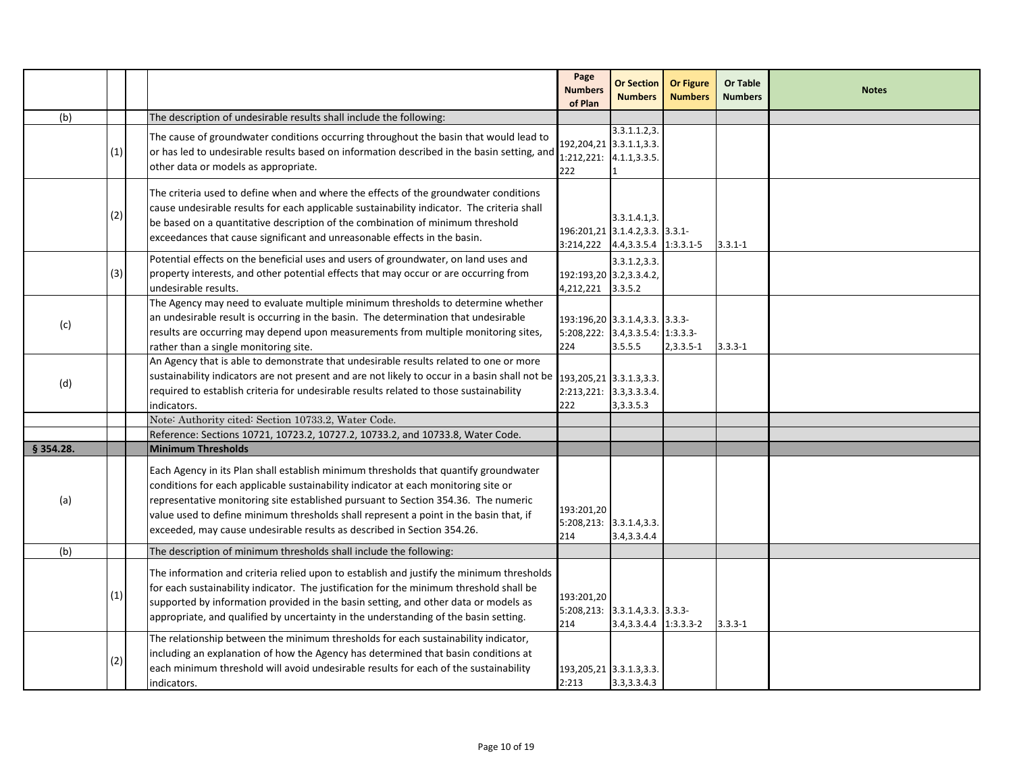|           |     |                                                                                                                                                                                                                                                                                                                                                                                                                                      | Page<br><b>Numbers</b><br>of Plan | <b>Or Section</b><br><b>Numbers</b>                                           | <b>Or Figure</b><br><b>Numbers</b> | <b>Or Table</b><br><b>Numbers</b> | <b>Notes</b> |
|-----------|-----|--------------------------------------------------------------------------------------------------------------------------------------------------------------------------------------------------------------------------------------------------------------------------------------------------------------------------------------------------------------------------------------------------------------------------------------|-----------------------------------|-------------------------------------------------------------------------------|------------------------------------|-----------------------------------|--------------|
| (b)       |     | The description of undesirable results shall include the following:                                                                                                                                                                                                                                                                                                                                                                  |                                   |                                                                               |                                    |                                   |              |
|           | (1) | The cause of groundwater conditions occurring throughout the basin that would lead to<br>or has led to undesirable results based on information described in the basin setting, and<br>other data or models as appropriate.                                                                                                                                                                                                          | 222                               | 3.3.1.1.2.3.<br>192,204,21 3.3.1.1,3.3.<br>1:212,221: 4.1.1,3.3.5.            |                                    |                                   |              |
|           | (2) | The criteria used to define when and where the effects of the groundwater conditions<br>cause undesirable results for each applicable sustainability indicator. The criteria shall<br>be based on a quantitative description of the combination of minimum threshold<br>exceedances that cause significant and unreasonable effects in the basin.                                                                                    | 3:214,222                         | 3.3.1.4.1,3.<br>196:201,21 3.1.4.2,3.3. 3.3.1-<br>4.4, 3.3. 5.4 1:3. 3.1-5    |                                    | $3.3.1 - 1$                       |              |
|           | (3) | Potential effects on the beneficial uses and users of groundwater, on land uses and<br>property interests, and other potential effects that may occur or are occurring from<br>undesirable results.                                                                                                                                                                                                                                  | 4,212,221 3.3.5.2                 | 3.3.1.2, 3.3.<br>192:193,20 3.2,3.3.4.2,                                      |                                    |                                   |              |
| (c)       |     | The Agency may need to evaluate multiple minimum thresholds to determine whether<br>an undesirable result is occurring in the basin. The determination that undesirable<br>results are occurring may depend upon measurements from multiple monitoring sites,<br>rather than a single monitoring site.                                                                                                                               | 224                               | 193:196,20 3.3.1.4,3.3. 3.3.3-<br>5:208,222: 3.4,3.3.5.4: 1:3.3.3-<br>3.5.5.5 | $2,3.3.5-1$                        | $3.3.3 - 1$                       |              |
| (d)       |     | An Agency that is able to demonstrate that undesirable results related to one or more<br>sustainability indicators are not present and are not likely to occur in a basin shall not be 193,205,21 3.3.1.3,3.3.<br>required to establish criteria for undesirable results related to those sustainability<br>indicators.                                                                                                              | 2:213,221: 3.3,3.3.3.4.<br>222    | 3,3.3.5.3                                                                     |                                    |                                   |              |
|           |     | Note: Authority cited: Section 10733.2, Water Code.                                                                                                                                                                                                                                                                                                                                                                                  |                                   |                                                                               |                                    |                                   |              |
|           |     | Reference: Sections 10721, 10723.2, 10727.2, 10733.2, and 10733.8, Water Code.                                                                                                                                                                                                                                                                                                                                                       |                                   |                                                                               |                                    |                                   |              |
| § 354.28. |     | <b>Minimum Thresholds</b>                                                                                                                                                                                                                                                                                                                                                                                                            |                                   |                                                                               |                                    |                                   |              |
| (a)       |     | Each Agency in its Plan shall establish minimum thresholds that quantify groundwater<br>conditions for each applicable sustainability indicator at each monitoring site or<br>representative monitoring site established pursuant to Section 354.36. The numeric<br>value used to define minimum thresholds shall represent a point in the basin that, if<br>exceeded, may cause undesirable results as described in Section 354.26. | 193:201,20<br>214                 | $5:208,213:$ 3.3.1.4,3.3.<br>3.4, 3.3. 4.4                                    |                                    |                                   |              |
| (b)       |     | The description of minimum thresholds shall include the following:                                                                                                                                                                                                                                                                                                                                                                   |                                   |                                                                               |                                    |                                   |              |
|           | (1) | The information and criteria relied upon to establish and justify the minimum thresholds<br>for each sustainability indicator. The justification for the minimum threshold shall be<br>supported by information provided in the basin setting, and other data or models as<br>appropriate, and qualified by uncertainty in the understanding of the basin setting.                                                                   | 193:201,20<br>214                 | 5:208,213: 3.3.1.4,3.3. 3.3.3-<br>$3.4,3.3.4.4$ 1:3.3.3-2                     |                                    | $3.3.3 - 1$                       |              |
|           | (2) | The relationship between the minimum thresholds for each sustainability indicator,<br>including an explanation of how the Agency has determined that basin conditions at<br>each minimum threshold will avoid undesirable results for each of the sustainability<br>indicators.                                                                                                                                                      | 2:213                             | 193, 205, 21 3.3. 1.3, 3.3.<br>3.3,3.3.4.3                                    |                                    |                                   |              |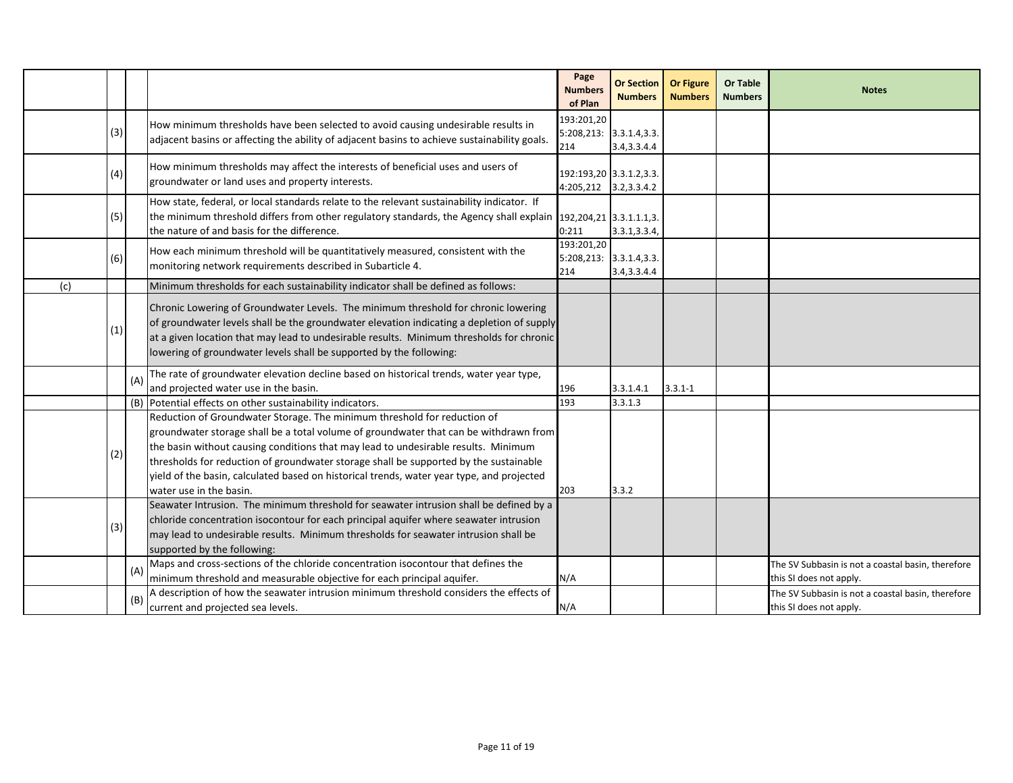|     |     |            |                                                                                                                                                                                                                                                                                                                                                                                                                                                                          | Page<br><b>Numbers</b><br>of Plan                | <b>Or Section</b><br><b>Numbers</b>     | <b>Or Figure</b><br><b>Numbers</b> | Or Table<br><b>Numbers</b> | <b>Notes</b>                                                                                                                      |
|-----|-----|------------|--------------------------------------------------------------------------------------------------------------------------------------------------------------------------------------------------------------------------------------------------------------------------------------------------------------------------------------------------------------------------------------------------------------------------------------------------------------------------|--------------------------------------------------|-----------------------------------------|------------------------------------|----------------------------|-----------------------------------------------------------------------------------------------------------------------------------|
|     | (3) |            | How minimum thresholds have been selected to avoid causing undesirable results in<br>adjacent basins or affecting the ability of adjacent basins to achieve sustainability goals.                                                                                                                                                                                                                                                                                        | 193:201,20<br>214                                | 5:208,213: 3.3.1.4,3.3.<br>3.4, 3.3.4.4 |                                    |                            |                                                                                                                                   |
|     | (4) |            | How minimum thresholds may affect the interests of beneficial uses and users of<br>groundwater or land uses and property interests.                                                                                                                                                                                                                                                                                                                                      | 192:193,20 3.3.1.2,3.3.<br>4:205,212 3.2,3.3.4.2 |                                         |                                    |                            |                                                                                                                                   |
|     | (5) |            | How state, federal, or local standards relate to the relevant sustainability indicator. If<br>the minimum threshold differs from other regulatory standards, the Agency shall explain<br>the nature of and basis for the difference.                                                                                                                                                                                                                                     | 192,204,21 3.3.1.1.1,3.<br>0:211                 | 3.3.1, 3.3.4,                           |                                    |                            |                                                                                                                                   |
|     | (6) |            | How each minimum threshold will be quantitatively measured, consistent with the<br>monitoring network requirements described in Subarticle 4.                                                                                                                                                                                                                                                                                                                            | 193:201,20<br>214                                | 5:208,213: 3.3.1.4,3.3.<br>3.4, 3.3.4.4 |                                    |                            |                                                                                                                                   |
| (c) | (1) |            | Minimum thresholds for each sustainability indicator shall be defined as follows:<br>Chronic Lowering of Groundwater Levels. The minimum threshold for chronic lowering<br>of groundwater levels shall be the groundwater elevation indicating a depletion of supply<br>at a given location that may lead to undesirable results. Minimum thresholds for chronic<br>lowering of groundwater levels shall be supported by the following:                                  |                                                  |                                         |                                    |                            |                                                                                                                                   |
|     |     | (A)        | The rate of groundwater elevation decline based on historical trends, water year type,<br>and projected water use in the basin.<br>(B) Potential effects on other sustainability indicators.                                                                                                                                                                                                                                                                             | 196<br>193                                       | 3.3.1.4.1<br>3.3.1.3                    | $3.3.1 - 1$                        |                            |                                                                                                                                   |
|     | (2) |            | Reduction of Groundwater Storage. The minimum threshold for reduction of<br>groundwater storage shall be a total volume of groundwater that can be withdrawn from<br>the basin without causing conditions that may lead to undesirable results. Minimum<br>thresholds for reduction of groundwater storage shall be supported by the sustainable<br>yield of the basin, calculated based on historical trends, water year type, and projected<br>water use in the basin. | 203                                              | 3.3.2                                   |                                    |                            |                                                                                                                                   |
|     | (3) |            | Seawater Intrusion. The minimum threshold for seawater intrusion shall be defined by a<br>chloride concentration isocontour for each principal aquifer where seawater intrusion<br>may lead to undesirable results. Minimum thresholds for seawater intrusion shall be<br>supported by the following:                                                                                                                                                                    |                                                  |                                         |                                    |                            |                                                                                                                                   |
|     |     | (A)<br>(B) | Maps and cross-sections of the chloride concentration isocontour that defines the<br>minimum threshold and measurable objective for each principal aquifer.<br>A description of how the seawater intrusion minimum threshold considers the effects of                                                                                                                                                                                                                    | N/A                                              |                                         |                                    |                            | The SV Subbasin is not a coastal basin, therefore<br>this SI does not apply.<br>The SV Subbasin is not a coastal basin, therefore |
|     |     |            | current and projected sea levels.                                                                                                                                                                                                                                                                                                                                                                                                                                        | N/A                                              |                                         |                                    |                            | this SI does not apply.                                                                                                           |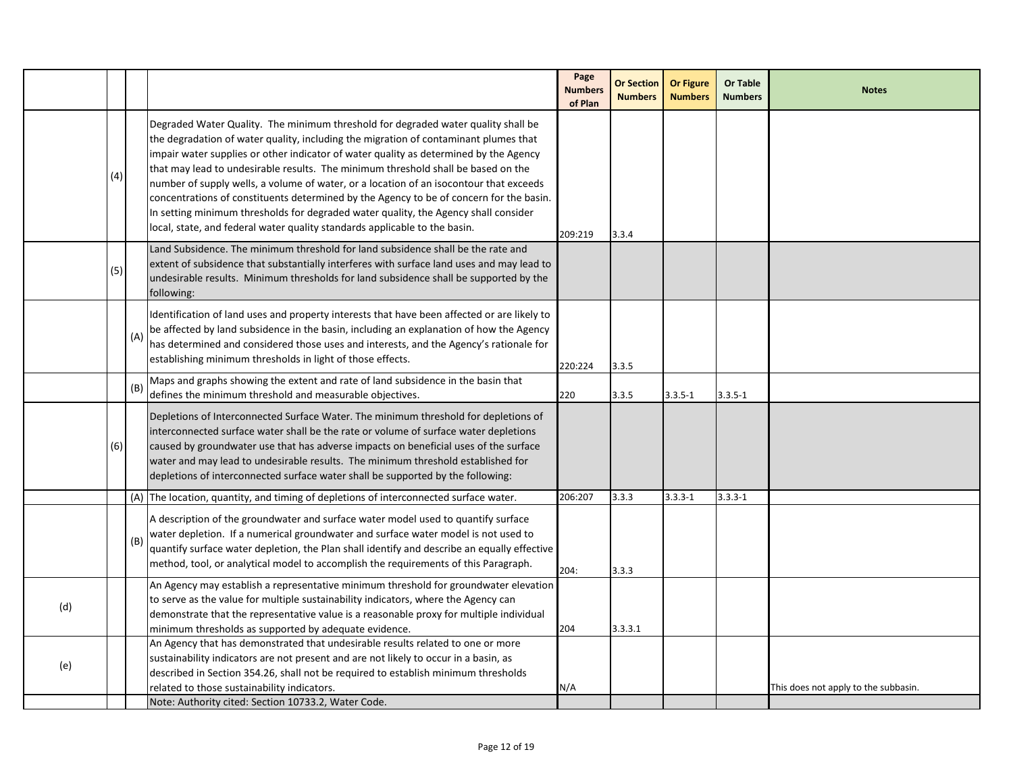|     |     |     |                                                                                                                                                                                                                                                                                                                                                                                                                                                                                                                                                                                                                                                                                                                   | Page<br><b>Numbers</b><br>of Plan | <b>Or Section</b><br><b>Numbers</b> | <b>Or Figure</b><br><b>Numbers</b> | Or Table<br><b>Numbers</b> | <b>Notes</b>                         |
|-----|-----|-----|-------------------------------------------------------------------------------------------------------------------------------------------------------------------------------------------------------------------------------------------------------------------------------------------------------------------------------------------------------------------------------------------------------------------------------------------------------------------------------------------------------------------------------------------------------------------------------------------------------------------------------------------------------------------------------------------------------------------|-----------------------------------|-------------------------------------|------------------------------------|----------------------------|--------------------------------------|
|     | (4) |     | Degraded Water Quality. The minimum threshold for degraded water quality shall be<br>the degradation of water quality, including the migration of contaminant plumes that<br>impair water supplies or other indicator of water quality as determined by the Agency<br>that may lead to undesirable results. The minimum threshold shall be based on the<br>number of supply wells, a volume of water, or a location of an isocontour that exceeds<br>concentrations of constituents determined by the Agency to be of concern for the basin.<br>In setting minimum thresholds for degraded water quality, the Agency shall consider<br>local, state, and federal water quality standards applicable to the basin. | 209:219                           | 3.3.4                               |                                    |                            |                                      |
|     | (5) |     | Land Subsidence. The minimum threshold for land subsidence shall be the rate and<br>extent of subsidence that substantially interferes with surface land uses and may lead to<br>undesirable results. Minimum thresholds for land subsidence shall be supported by the<br>following:                                                                                                                                                                                                                                                                                                                                                                                                                              |                                   |                                     |                                    |                            |                                      |
|     |     | (A) | Identification of land uses and property interests that have been affected or are likely to<br>be affected by land subsidence in the basin, including an explanation of how the Agency<br>has determined and considered those uses and interests, and the Agency's rationale for<br>establishing minimum thresholds in light of those effects.                                                                                                                                                                                                                                                                                                                                                                    | 220:224                           | 3.3.5                               |                                    |                            |                                      |
|     |     | (B) | Maps and graphs showing the extent and rate of land subsidence in the basin that<br>defines the minimum threshold and measurable objectives.                                                                                                                                                                                                                                                                                                                                                                                                                                                                                                                                                                      | 220                               | 3.3.5                               | $3.3.5 - 1$                        | $3.3.5 - 1$                |                                      |
|     | (6) |     | Depletions of Interconnected Surface Water. The minimum threshold for depletions of<br>interconnected surface water shall be the rate or volume of surface water depletions<br>caused by groundwater use that has adverse impacts on beneficial uses of the surface<br>water and may lead to undesirable results. The minimum threshold established for<br>depletions of interconnected surface water shall be supported by the following:                                                                                                                                                                                                                                                                        |                                   |                                     |                                    |                            |                                      |
|     |     |     | (A) The location, quantity, and timing of depletions of interconnected surface water.                                                                                                                                                                                                                                                                                                                                                                                                                                                                                                                                                                                                                             | 206:207                           | 3.3.3                               | $3.3.3 - 1$                        | $3.3.3 - 1$                |                                      |
|     |     | (B) | A description of the groundwater and surface water model used to quantify surface<br>water depletion. If a numerical groundwater and surface water model is not used to<br>quantify surface water depletion, the Plan shall identify and describe an equally effective<br>method, tool, or analytical model to accomplish the requirements of this Paragraph.                                                                                                                                                                                                                                                                                                                                                     | 204:                              | 3.3.3                               |                                    |                            |                                      |
| (d) |     |     | An Agency may establish a representative minimum threshold for groundwater elevation<br>to serve as the value for multiple sustainability indicators, where the Agency can<br>demonstrate that the representative value is a reasonable proxy for multiple individual<br>minimum thresholds as supported by adequate evidence.                                                                                                                                                                                                                                                                                                                                                                                    | 204                               | 3.3.3.1                             |                                    |                            |                                      |
| (e) |     |     | An Agency that has demonstrated that undesirable results related to one or more<br>sustainability indicators are not present and are not likely to occur in a basin, as<br>described in Section 354.26, shall not be required to establish minimum thresholds<br>related to those sustainability indicators.                                                                                                                                                                                                                                                                                                                                                                                                      | N/A                               |                                     |                                    |                            | This does not apply to the subbasin. |
|     |     |     | Note: Authority cited: Section 10733.2, Water Code.                                                                                                                                                                                                                                                                                                                                                                                                                                                                                                                                                                                                                                                               |                                   |                                     |                                    |                            |                                      |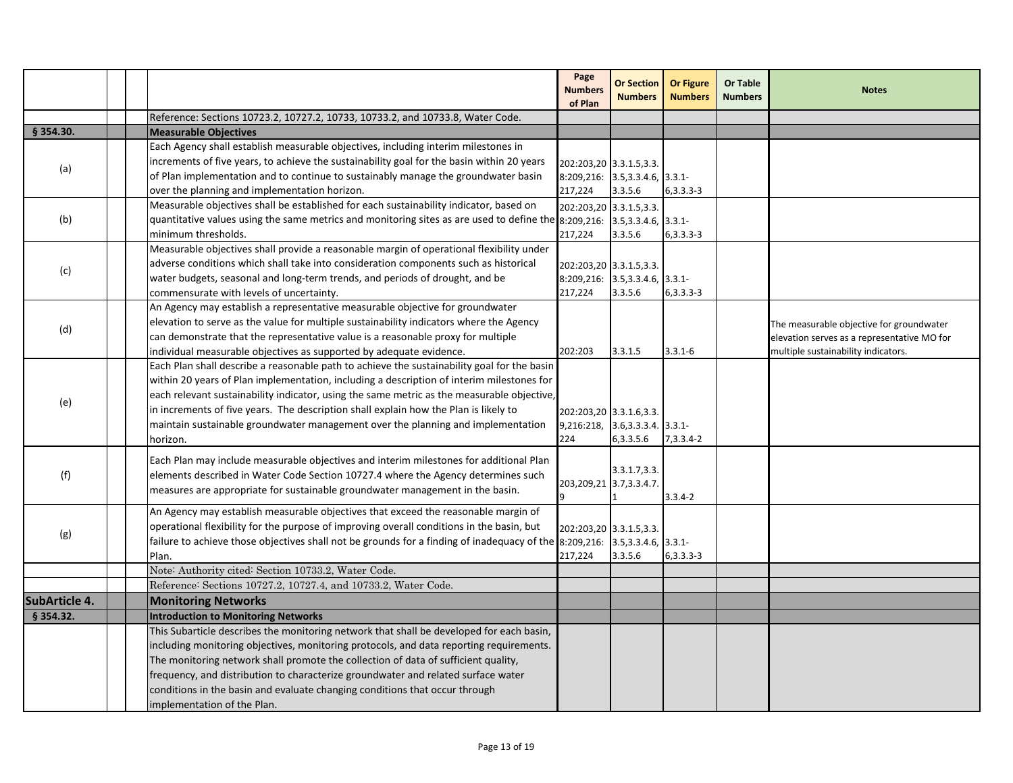|               |                                                                                                                            | Page<br><b>Numbers</b><br>of Plan | <b>Or Section</b><br><b>Numbers</b> | Or Figure<br><b>Numbers</b> | <b>Or Table</b><br><b>Numbers</b> | <b>Notes</b>                                |
|---------------|----------------------------------------------------------------------------------------------------------------------------|-----------------------------------|-------------------------------------|-----------------------------|-----------------------------------|---------------------------------------------|
|               | Reference: Sections 10723.2, 10727.2, 10733, 10733.2, and 10733.8, Water Code.                                             |                                   |                                     |                             |                                   |                                             |
| § 354.30.     | <b>Measurable Objectives</b>                                                                                               |                                   |                                     |                             |                                   |                                             |
|               | Each Agency shall establish measurable objectives, including interim milestones in                                         |                                   |                                     |                             |                                   |                                             |
| (a)           | increments of five years, to achieve the sustainability goal for the basin within 20 years                                 |                                   | 202:203,20 3.3.1.5,3.3.             |                             |                                   |                                             |
|               | of Plan implementation and to continue to sustainably manage the groundwater basin                                         |                                   | 8:209,216: 3.5,3.3.4.6, 3.3.1-      |                             |                                   |                                             |
|               | over the planning and implementation horizon.                                                                              | 217,224                           | 3.3.5.6                             | $6,3.3.3-3$                 |                                   |                                             |
|               | Measurable objectives shall be established for each sustainability indicator, based on                                     |                                   | 202:203,20 3.3.1.5,3.3.             |                             |                                   |                                             |
| (b)           | quantitative values using the same metrics and monitoring sites as are used to define the 8:209,216: 3.5,3.3.4.6, 3.3.1-   |                                   |                                     |                             |                                   |                                             |
|               | minimum thresholds.                                                                                                        | 217,224                           | 3.3.5.6                             | $6,3.3.3-3$                 |                                   |                                             |
|               | Measurable objectives shall provide a reasonable margin of operational flexibility under                                   |                                   |                                     |                             |                                   |                                             |
| (c)           | adverse conditions which shall take into consideration components such as historical                                       |                                   | 202:203,20 3.3.1.5,3.3.             |                             |                                   |                                             |
|               | water budgets, seasonal and long-term trends, and periods of drought, and be                                               |                                   | $8:209,216:$ 3.5,3.3.4.6, 3.3.1-    |                             |                                   |                                             |
|               | commensurate with levels of uncertainty.                                                                                   | 217,224                           | 3.3.5.6                             | 6,3.3.3-3                   |                                   |                                             |
|               | An Agency may establish a representative measurable objective for groundwater                                              |                                   |                                     |                             |                                   |                                             |
| (d)           | elevation to serve as the value for multiple sustainability indicators where the Agency                                    |                                   |                                     |                             |                                   | The measurable objective for groundwater    |
|               | can demonstrate that the representative value is a reasonable proxy for multiple                                           |                                   |                                     |                             |                                   | elevation serves as a representative MO for |
|               | individual measurable objectives as supported by adequate evidence.                                                        | 202:203                           | 3.3.1.5                             | $3.3.1 - 6$                 |                                   | multiple sustainability indicators.         |
|               | Each Plan shall describe a reasonable path to achieve the sustainability goal for the basin                                |                                   |                                     |                             |                                   |                                             |
|               | within 20 years of Plan implementation, including a description of interim milestones for                                  |                                   |                                     |                             |                                   |                                             |
|               | each relevant sustainability indicator, using the same metric as the measurable objective,                                 |                                   |                                     |                             |                                   |                                             |
| (e)           | in increments of five years. The description shall explain how the Plan is likely to                                       |                                   | 202:203,20 3.3.1.6,3.3.             |                             |                                   |                                             |
|               | maintain sustainable groundwater management over the planning and implementation                                           | 9,216:218,                        | $3.6, 3.3.3.4$ . $3.3.1$            |                             |                                   |                                             |
|               | horizon.                                                                                                                   | 224                               | 6, 3. 3. 5. 6                       | $7,3.3.4-2$                 |                                   |                                             |
|               | Each Plan may include measurable objectives and interim milestones for additional Plan                                     |                                   |                                     |                             |                                   |                                             |
| (f)           | elements described in Water Code Section 10727.4 where the Agency determines such                                          |                                   | 3.3.1.7, 3.3.                       |                             |                                   |                                             |
|               | measures are appropriate for sustainable groundwater management in the basin.                                              |                                   | 203, 209, 21 3.7, 3.3.4.7.          |                             |                                   |                                             |
|               |                                                                                                                            |                                   |                                     | $3.3.4 - 2$                 |                                   |                                             |
|               | An Agency may establish measurable objectives that exceed the reasonable margin of                                         |                                   |                                     |                             |                                   |                                             |
| (g)           | operational flexibility for the purpose of improving overall conditions in the basin, but                                  | 202:203,20 3.3.1.5,3.3.           |                                     |                             |                                   |                                             |
|               | failure to achieve those objectives shall not be grounds for a finding of inadequacy of the 8:209,216: 3.5,3.3.4.6, 3.3.1- |                                   |                                     |                             |                                   |                                             |
|               | Plan.                                                                                                                      | 217,224                           | 3.3.5.6                             | $6,3.3.3-3$                 |                                   |                                             |
|               | Note: Authority cited: Section 10733.2, Water Code.                                                                        |                                   |                                     |                             |                                   |                                             |
|               | Reference: Sections 10727.2, 10727.4, and 10733.2, Water Code.                                                             |                                   |                                     |                             |                                   |                                             |
| SubArticle 4. | <b>Monitoring Networks</b>                                                                                                 |                                   |                                     |                             |                                   |                                             |
| § 354.32.     | <b>Introduction to Monitoring Networks</b>                                                                                 |                                   |                                     |                             |                                   |                                             |
|               | This Subarticle describes the monitoring network that shall be developed for each basin,                                   |                                   |                                     |                             |                                   |                                             |
|               | including monitoring objectives, monitoring protocols, and data reporting requirements.                                    |                                   |                                     |                             |                                   |                                             |
|               | The monitoring network shall promote the collection of data of sufficient quality,                                         |                                   |                                     |                             |                                   |                                             |
|               | frequency, and distribution to characterize groundwater and related surface water                                          |                                   |                                     |                             |                                   |                                             |
|               | conditions in the basin and evaluate changing conditions that occur through                                                |                                   |                                     |                             |                                   |                                             |
|               | implementation of the Plan.                                                                                                |                                   |                                     |                             |                                   |                                             |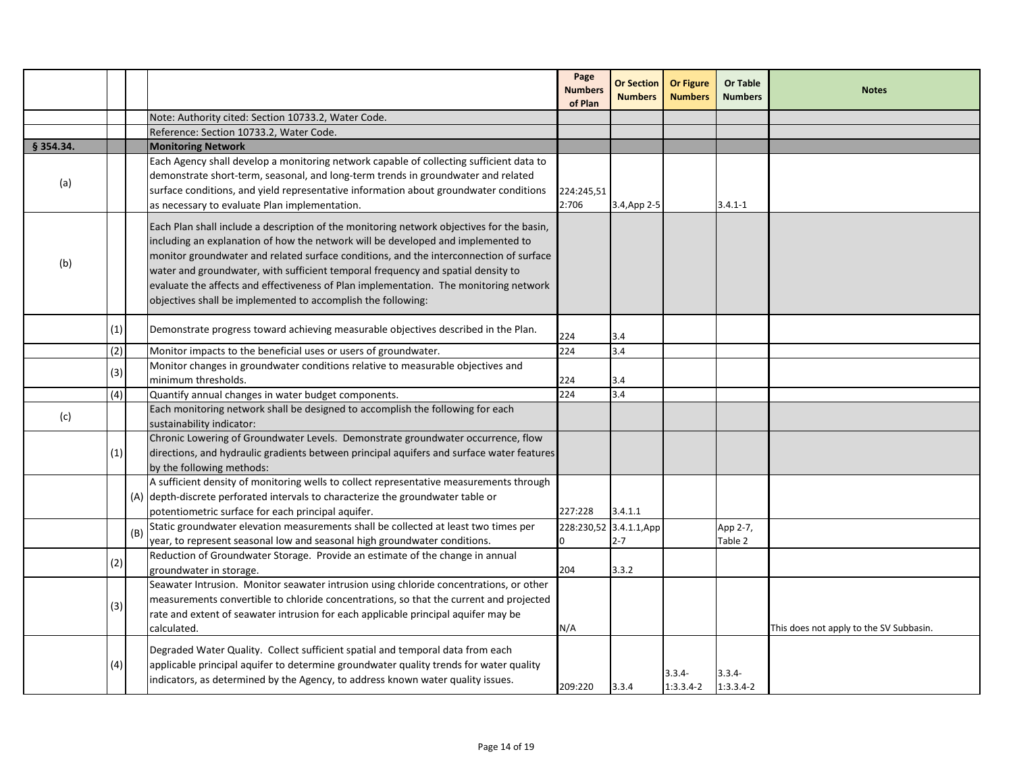|           |     |     |                                                                                                                                                                                                                                                                                                                                                                                                                                                                                                                      | Page<br><b>Numbers</b><br>of Plan | <b>Or Section</b><br><b>Numbers</b> | <b>Or Figure</b><br><b>Numbers</b> | <b>Or Table</b><br><b>Numbers</b> | <b>Notes</b>                            |
|-----------|-----|-----|----------------------------------------------------------------------------------------------------------------------------------------------------------------------------------------------------------------------------------------------------------------------------------------------------------------------------------------------------------------------------------------------------------------------------------------------------------------------------------------------------------------------|-----------------------------------|-------------------------------------|------------------------------------|-----------------------------------|-----------------------------------------|
|           |     |     | Note: Authority cited: Section 10733.2, Water Code.                                                                                                                                                                                                                                                                                                                                                                                                                                                                  |                                   |                                     |                                    |                                   |                                         |
|           |     |     | Reference: Section 10733.2, Water Code.                                                                                                                                                                                                                                                                                                                                                                                                                                                                              |                                   |                                     |                                    |                                   |                                         |
| § 354.34. |     |     | <b>Monitoring Network</b>                                                                                                                                                                                                                                                                                                                                                                                                                                                                                            |                                   |                                     |                                    |                                   |                                         |
| (a)       |     |     | Each Agency shall develop a monitoring network capable of collecting sufficient data to<br>demonstrate short-term, seasonal, and long-term trends in groundwater and related<br>surface conditions, and yield representative information about groundwater conditions<br>as necessary to evaluate Plan implementation.                                                                                                                                                                                               | 224:245,51<br>2:706               | 3.4, App 2-5                        |                                    | $3.4.1 - 1$                       |                                         |
| (b)       |     |     | Each Plan shall include a description of the monitoring network objectives for the basin,<br>including an explanation of how the network will be developed and implemented to<br>monitor groundwater and related surface conditions, and the interconnection of surface<br>water and groundwater, with sufficient temporal frequency and spatial density to<br>evaluate the affects and effectiveness of Plan implementation. The monitoring network<br>objectives shall be implemented to accomplish the following: |                                   |                                     |                                    |                                   |                                         |
|           | (1) |     | Demonstrate progress toward achieving measurable objectives described in the Plan.                                                                                                                                                                                                                                                                                                                                                                                                                                   | 224                               | 3.4                                 |                                    |                                   |                                         |
|           | (2) |     | Monitor impacts to the beneficial uses or users of groundwater.                                                                                                                                                                                                                                                                                                                                                                                                                                                      | 224                               | $\overline{3.4}$                    |                                    |                                   |                                         |
|           | (3) |     | Monitor changes in groundwater conditions relative to measurable objectives and<br>minimum thresholds.                                                                                                                                                                                                                                                                                                                                                                                                               | 224                               | 3.4                                 |                                    |                                   |                                         |
|           | (4) |     | Quantify annual changes in water budget components.                                                                                                                                                                                                                                                                                                                                                                                                                                                                  | 224                               | 3.4                                 |                                    |                                   |                                         |
| (c)       |     |     | Each monitoring network shall be designed to accomplish the following for each<br>sustainability indicator:                                                                                                                                                                                                                                                                                                                                                                                                          |                                   |                                     |                                    |                                   |                                         |
|           | (1) |     | Chronic Lowering of Groundwater Levels. Demonstrate groundwater occurrence, flow<br>directions, and hydraulic gradients between principal aquifers and surface water features<br>by the following methods:                                                                                                                                                                                                                                                                                                           |                                   |                                     |                                    |                                   |                                         |
|           |     |     | A sufficient density of monitoring wells to collect representative measurements through<br>(A) depth-discrete perforated intervals to characterize the groundwater table or                                                                                                                                                                                                                                                                                                                                          |                                   |                                     |                                    |                                   |                                         |
|           |     |     | potentiometric surface for each principal aquifer.                                                                                                                                                                                                                                                                                                                                                                                                                                                                   | 227:228                           | 3.4.1.1                             |                                    |                                   |                                         |
|           |     | (B) | Static groundwater elevation measurements shall be collected at least two times per<br>year, to represent seasonal low and seasonal high groundwater conditions.                                                                                                                                                                                                                                                                                                                                                     |                                   | 228:230,52 3.4.1.1,App<br>$2 - 7$   |                                    | App 2-7,<br>Table 2               |                                         |
|           |     |     | Reduction of Groundwater Storage. Provide an estimate of the change in annual                                                                                                                                                                                                                                                                                                                                                                                                                                        |                                   |                                     |                                    |                                   |                                         |
|           | (2) |     | groundwater in storage.                                                                                                                                                                                                                                                                                                                                                                                                                                                                                              | 204                               | 3.3.2                               |                                    |                                   |                                         |
|           | (3) |     | Seawater Intrusion. Monitor seawater intrusion using chloride concentrations, or other<br>measurements convertible to chloride concentrations, so that the current and projected<br>rate and extent of seawater intrusion for each applicable principal aquifer may be<br>calculated.                                                                                                                                                                                                                                | N/A                               |                                     |                                    |                                   | This does not apply to the SV Subbasin. |
|           | (4) |     | Degraded Water Quality. Collect sufficient spatial and temporal data from each<br>applicable principal aquifer to determine groundwater quality trends for water quality<br>indicators, as determined by the Agency, to address known water quality issues.                                                                                                                                                                                                                                                          | 209:220                           | 3.3.4                               | $3.3.4-$<br>$1:3.3.4-2$            | $3.3.4 -$<br>$1:3.3.4-2$          |                                         |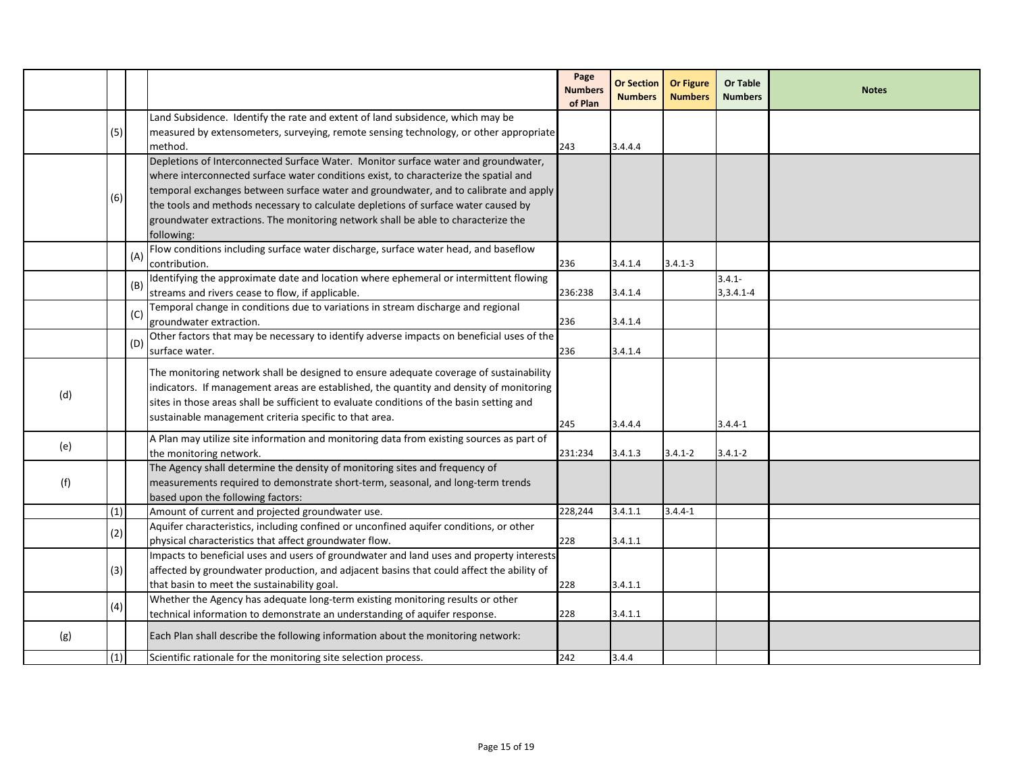|     |     |     |                                                                                           | Page<br><b>Numbers</b><br>of Plan | <b>Or Section</b><br><b>Numbers</b> | <b>Or Figure</b><br><b>Numbers</b> | <b>Or Table</b><br><b>Numbers</b> | <b>Notes</b> |
|-----|-----|-----|-------------------------------------------------------------------------------------------|-----------------------------------|-------------------------------------|------------------------------------|-----------------------------------|--------------|
|     |     |     | Land Subsidence. Identify the rate and extent of land subsidence, which may be            |                                   |                                     |                                    |                                   |              |
|     | (5) |     | measured by extensometers, surveying, remote sensing technology, or other appropriate     |                                   |                                     |                                    |                                   |              |
|     |     |     | method.                                                                                   | 243                               | 3.4.4.4                             |                                    |                                   |              |
|     |     |     | Depletions of Interconnected Surface Water. Monitor surface water and groundwater,        |                                   |                                     |                                    |                                   |              |
|     | (6) |     | where interconnected surface water conditions exist, to characterize the spatial and      |                                   |                                     |                                    |                                   |              |
|     |     |     | temporal exchanges between surface water and groundwater, and to calibrate and apply      |                                   |                                     |                                    |                                   |              |
|     |     |     | the tools and methods necessary to calculate depletions of surface water caused by        |                                   |                                     |                                    |                                   |              |
|     |     |     | groundwater extractions. The monitoring network shall be able to characterize the         |                                   |                                     |                                    |                                   |              |
|     |     |     | following:                                                                                |                                   |                                     |                                    |                                   |              |
|     |     | (A) | Flow conditions including surface water discharge, surface water head, and baseflow       |                                   |                                     |                                    |                                   |              |
|     |     |     | contribution.                                                                             | 236                               | 3.4.1.4                             | $3.4.1 - 3$                        |                                   |              |
|     |     | (B) | Identifying the approximate date and location where ephemeral or intermittent flowing     |                                   |                                     |                                    | $3.4.1 -$                         |              |
|     |     |     | streams and rivers cease to flow, if applicable.                                          | 236:238                           | 3.4.1.4                             |                                    | $3,3.4.1 - 4$                     |              |
|     |     | (C) | Temporal change in conditions due to variations in stream discharge and regional          |                                   |                                     |                                    |                                   |              |
|     |     |     | groundwater extraction.                                                                   | 236                               | 3.4.1.4                             |                                    |                                   |              |
|     |     | (D) | Other factors that may be necessary to identify adverse impacts on beneficial uses of the |                                   |                                     |                                    |                                   |              |
|     |     |     | surface water.                                                                            | 236                               | 3.4.1.4                             |                                    |                                   |              |
|     |     |     | The monitoring network shall be designed to ensure adequate coverage of sustainability    |                                   |                                     |                                    |                                   |              |
|     |     |     | indicators. If management areas are established, the quantity and density of monitoring   |                                   |                                     |                                    |                                   |              |
| (d) |     |     | sites in those areas shall be sufficient to evaluate conditions of the basin setting and  |                                   |                                     |                                    |                                   |              |
|     |     |     | sustainable management criteria specific to that area.                                    | 245                               | 3.4.4.4                             |                                    | $3.4.4 - 1$                       |              |
|     |     |     | A Plan may utilize site information and monitoring data from existing sources as part of  |                                   |                                     |                                    |                                   |              |
| (e) |     |     | the monitoring network.                                                                   | 231:234                           | 3.4.1.3                             | $3.4.1 - 2$                        | $3.4.1 - 2$                       |              |
|     |     |     | The Agency shall determine the density of monitoring sites and frequency of               |                                   |                                     |                                    |                                   |              |
| (f) |     |     | measurements required to demonstrate short-term, seasonal, and long-term trends           |                                   |                                     |                                    |                                   |              |
|     |     |     | based upon the following factors:                                                         |                                   |                                     |                                    |                                   |              |
|     | (1) |     | Amount of current and projected groundwater use.                                          | 228.244                           | 3.4.1.1                             | $3.4.4 - 1$                        |                                   |              |
|     |     |     | Aquifer characteristics, including confined or unconfined aquifer conditions, or other    |                                   |                                     |                                    |                                   |              |
|     | (2) |     | physical characteristics that affect groundwater flow.                                    | 228                               | 3.4.1.1                             |                                    |                                   |              |
|     |     |     | Impacts to beneficial uses and users of groundwater and land uses and property interests  |                                   |                                     |                                    |                                   |              |
|     | (3) |     | affected by groundwater production, and adjacent basins that could affect the ability of  |                                   |                                     |                                    |                                   |              |
|     |     |     | that basin to meet the sustainability goal.                                               | 228                               | 3.4.1.1                             |                                    |                                   |              |
|     |     |     | Whether the Agency has adequate long-term existing monitoring results or other            |                                   |                                     |                                    |                                   |              |
|     | (4) |     | technical information to demonstrate an understanding of aquifer response.                | 228                               | 3.4.1.1                             |                                    |                                   |              |
| (g) |     |     | Each Plan shall describe the following information about the monitoring network:          |                                   |                                     |                                    |                                   |              |
|     | (1) |     | Scientific rationale for the monitoring site selection process.                           | 242                               | 3.4.4                               |                                    |                                   |              |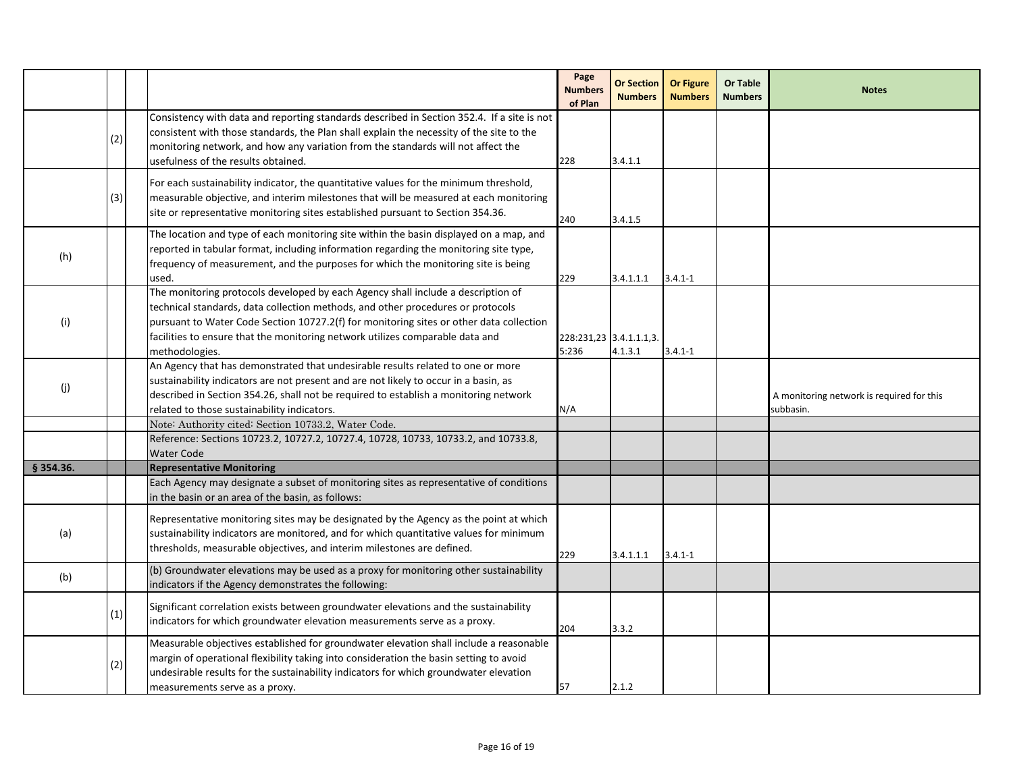|           |     |                                                                                                                                                                                  | Page<br><b>Numbers</b><br>of Plan | <b>Or Section</b><br><b>Numbers</b> | <b>Or Figure</b><br><b>Numbers</b> | <b>Or Table</b><br><b>Numbers</b> | <b>Notes</b>                              |
|-----------|-----|----------------------------------------------------------------------------------------------------------------------------------------------------------------------------------|-----------------------------------|-------------------------------------|------------------------------------|-----------------------------------|-------------------------------------------|
|           |     | Consistency with data and reporting standards described in Section 352.4. If a site is not                                                                                       |                                   |                                     |                                    |                                   |                                           |
|           |     | consistent with those standards, the Plan shall explain the necessity of the site to the                                                                                         |                                   |                                     |                                    |                                   |                                           |
|           | (2) | monitoring network, and how any variation from the standards will not affect the                                                                                                 |                                   |                                     |                                    |                                   |                                           |
|           |     | usefulness of the results obtained.                                                                                                                                              | 228                               | 3.4.1.1                             |                                    |                                   |                                           |
|           |     | For each sustainability indicator, the quantitative values for the minimum threshold,                                                                                            |                                   |                                     |                                    |                                   |                                           |
|           | (3) | measurable objective, and interim milestones that will be measured at each monitoring                                                                                            |                                   |                                     |                                    |                                   |                                           |
|           |     | site or representative monitoring sites established pursuant to Section 354.36.                                                                                                  |                                   |                                     |                                    |                                   |                                           |
|           |     |                                                                                                                                                                                  | 240                               | 3.4.1.5                             |                                    |                                   |                                           |
|           |     | The location and type of each monitoring site within the basin displayed on a map, and                                                                                           |                                   |                                     |                                    |                                   |                                           |
| (h)       |     | reported in tabular format, including information regarding the monitoring site type,                                                                                            |                                   |                                     |                                    |                                   |                                           |
|           |     | frequency of measurement, and the purposes for which the monitoring site is being                                                                                                |                                   |                                     |                                    |                                   |                                           |
|           |     | used.                                                                                                                                                                            | 229                               | 3.4.1.1.1                           | $3.4.1 - 1$                        |                                   |                                           |
|           |     | The monitoring protocols developed by each Agency shall include a description of                                                                                                 |                                   |                                     |                                    |                                   |                                           |
|           |     | technical standards, data collection methods, and other procedures or protocols                                                                                                  |                                   |                                     |                                    |                                   |                                           |
| (i)       |     | pursuant to Water Code Section 10727.2(f) for monitoring sites or other data collection                                                                                          |                                   |                                     |                                    |                                   |                                           |
|           |     | facilities to ensure that the monitoring network utilizes comparable data and                                                                                                    |                                   | 228:231,23 3.4.1.1.1,3.             |                                    |                                   |                                           |
|           |     | methodologies.                                                                                                                                                                   | 5:236                             | 4.1.3.1                             | $3.4.1 - 1$                        |                                   |                                           |
|           |     | An Agency that has demonstrated that undesirable results related to one or more                                                                                                  |                                   |                                     |                                    |                                   |                                           |
| (i)       |     | sustainability indicators are not present and are not likely to occur in a basin, as                                                                                             |                                   |                                     |                                    |                                   |                                           |
|           |     | described in Section 354.26, shall not be required to establish a monitoring network                                                                                             |                                   |                                     |                                    |                                   | A monitoring network is required for this |
|           |     | related to those sustainability indicators.                                                                                                                                      | N/A                               |                                     |                                    |                                   | subbasin.                                 |
|           |     | Note: Authority cited: Section 10733.2, Water Code.                                                                                                                              |                                   |                                     |                                    |                                   |                                           |
|           |     | Reference: Sections 10723.2, 10727.2, 10727.4, 10728, 10733, 10733.2, and 10733.8,                                                                                               |                                   |                                     |                                    |                                   |                                           |
|           |     | <b>Water Code</b>                                                                                                                                                                |                                   |                                     |                                    |                                   |                                           |
| § 354.36. |     | <b>Representative Monitoring</b>                                                                                                                                                 |                                   |                                     |                                    |                                   |                                           |
|           |     | Each Agency may designate a subset of monitoring sites as representative of conditions                                                                                           |                                   |                                     |                                    |                                   |                                           |
|           |     | in the basin or an area of the basin, as follows:                                                                                                                                |                                   |                                     |                                    |                                   |                                           |
|           |     | Representative monitoring sites may be designated by the Agency as the point at which                                                                                            |                                   |                                     |                                    |                                   |                                           |
| (a)       |     | sustainability indicators are monitored, and for which quantitative values for minimum                                                                                           |                                   |                                     |                                    |                                   |                                           |
|           |     | thresholds, measurable objectives, and interim milestones are defined.                                                                                                           |                                   |                                     |                                    |                                   |                                           |
|           |     |                                                                                                                                                                                  | 229                               | 3.4.1.1.1                           | $3.4.1 - 1$                        |                                   |                                           |
| (b)       |     | (b) Groundwater elevations may be used as a proxy for monitoring other sustainability                                                                                            |                                   |                                     |                                    |                                   |                                           |
|           |     | indicators if the Agency demonstrates the following:                                                                                                                             |                                   |                                     |                                    |                                   |                                           |
|           |     | Significant correlation exists between groundwater elevations and the sustainability                                                                                             |                                   |                                     |                                    |                                   |                                           |
|           | (1) | indicators for which groundwater elevation measurements serve as a proxy.                                                                                                        |                                   |                                     |                                    |                                   |                                           |
|           |     |                                                                                                                                                                                  | 204                               | 3.3.2                               |                                    |                                   |                                           |
|           |     | Measurable objectives established for groundwater elevation shall include a reasonable<br>margin of operational flexibility taking into consideration the basin setting to avoid |                                   |                                     |                                    |                                   |                                           |
|           | (2) |                                                                                                                                                                                  |                                   |                                     |                                    |                                   |                                           |
|           |     | undesirable results for the sustainability indicators for which groundwater elevation                                                                                            |                                   |                                     |                                    |                                   |                                           |
|           |     | measurements serve as a proxy.                                                                                                                                                   | 57                                | 2.1.2                               |                                    |                                   |                                           |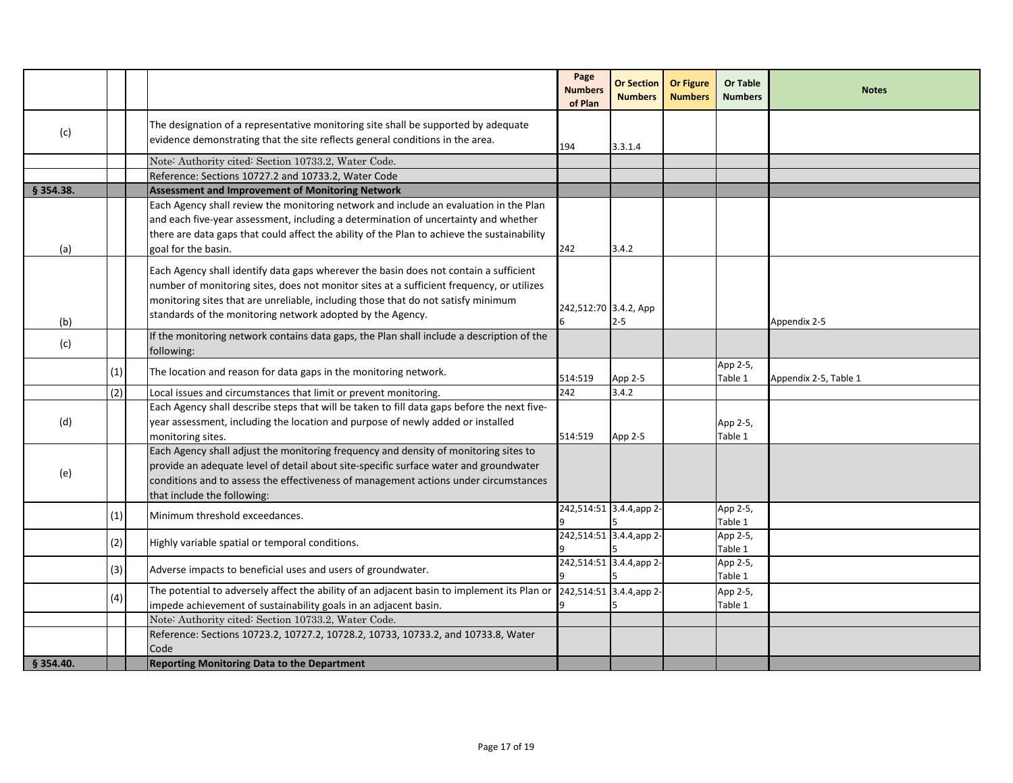|           |     |                                                                                                                                                                                                                                                                                                                                       | Page<br><b>Numbers</b><br>of Plan | <b>Or Section</b><br><b>Numbers</b> | <b>Or Figure</b><br><b>Numbers</b> | <b>Or Table</b><br><b>Numbers</b> | <b>Notes</b>          |
|-----------|-----|---------------------------------------------------------------------------------------------------------------------------------------------------------------------------------------------------------------------------------------------------------------------------------------------------------------------------------------|-----------------------------------|-------------------------------------|------------------------------------|-----------------------------------|-----------------------|
| (c)       |     | The designation of a representative monitoring site shall be supported by adequate<br>evidence demonstrating that the site reflects general conditions in the area.                                                                                                                                                                   | 194                               | 3.3.1.4                             |                                    |                                   |                       |
|           |     | Note: Authority cited: Section 10733.2, Water Code.                                                                                                                                                                                                                                                                                   |                                   |                                     |                                    |                                   |                       |
|           |     | Reference: Sections 10727.2 and 10733.2, Water Code                                                                                                                                                                                                                                                                                   |                                   |                                     |                                    |                                   |                       |
| § 354.38. |     | <b>Assessment and Improvement of Monitoring Network</b>                                                                                                                                                                                                                                                                               |                                   |                                     |                                    |                                   |                       |
| (a)       |     | Each Agency shall review the monitoring network and include an evaluation in the Plan<br>and each five-year assessment, including a determination of uncertainty and whether<br>there are data gaps that could affect the ability of the Plan to achieve the sustainability<br>goal for the basin.                                    | 242                               | 3.4.2                               |                                    |                                   |                       |
| (b)       |     | Each Agency shall identify data gaps wherever the basin does not contain a sufficient<br>number of monitoring sites, does not monitor sites at a sufficient frequency, or utilizes<br>monitoring sites that are unreliable, including those that do not satisfy minimum<br>standards of the monitoring network adopted by the Agency. | 242,512:70 3.4.2, App             | $2 - 5$                             |                                    |                                   | Appendix 2-5          |
| (c)       |     | If the monitoring network contains data gaps, the Plan shall include a description of the<br>following:                                                                                                                                                                                                                               |                                   |                                     |                                    |                                   |                       |
|           | (1) | The location and reason for data gaps in the monitoring network.                                                                                                                                                                                                                                                                      | 514:519                           | App 2-5                             |                                    | App 2-5,<br>Table 1               | Appendix 2-5, Table 1 |
|           | (2) | Local issues and circumstances that limit or prevent monitoring.                                                                                                                                                                                                                                                                      | 242                               | 3.4.2                               |                                    |                                   |                       |
| (d)       |     | Each Agency shall describe steps that will be taken to fill data gaps before the next five-<br>year assessment, including the location and purpose of newly added or installed<br>monitoring sites.                                                                                                                                   | 514:519                           | App 2-5                             |                                    | App 2-5,<br>Table 1               |                       |
| (e)       |     | Each Agency shall adjust the monitoring frequency and density of monitoring sites to<br>provide an adequate level of detail about site-specific surface water and groundwater<br>conditions and to assess the effectiveness of management actions under circumstances<br>that include the following:                                  |                                   |                                     |                                    |                                   |                       |
|           | (1) | Minimum threshold exceedances.                                                                                                                                                                                                                                                                                                        |                                   | 242,514:51 3.4.4,app 2-             |                                    | App 2-5,<br>Table 1               |                       |
|           | (2) | Highly variable spatial or temporal conditions.                                                                                                                                                                                                                                                                                       |                                   | 242,514:51 3.4.4,app 2-             |                                    | App 2-5,<br>Table 1               |                       |
|           | (3) | Adverse impacts to beneficial uses and users of groundwater.                                                                                                                                                                                                                                                                          |                                   | 242,514:51 3.4.4,app 2-             |                                    | App 2-5,<br>Table 1               |                       |
|           | (4) | The potential to adversely affect the ability of an adjacent basin to implement its Plan or<br>impede achievement of sustainability goals in an adjacent basin.                                                                                                                                                                       |                                   | 242,514:51 3.4.4,app 2-             |                                    | App 2-5,<br>Table 1               |                       |
|           |     | Note: Authority cited: Section 10733.2, Water Code.                                                                                                                                                                                                                                                                                   |                                   |                                     |                                    |                                   |                       |
|           |     | Reference: Sections 10723.2, 10727.2, 10728.2, 10733, 10733.2, and 10733.8, Water<br>Code                                                                                                                                                                                                                                             |                                   |                                     |                                    |                                   |                       |
| § 354.40. |     | <b>Reporting Monitoring Data to the Department</b>                                                                                                                                                                                                                                                                                    |                                   |                                     |                                    |                                   |                       |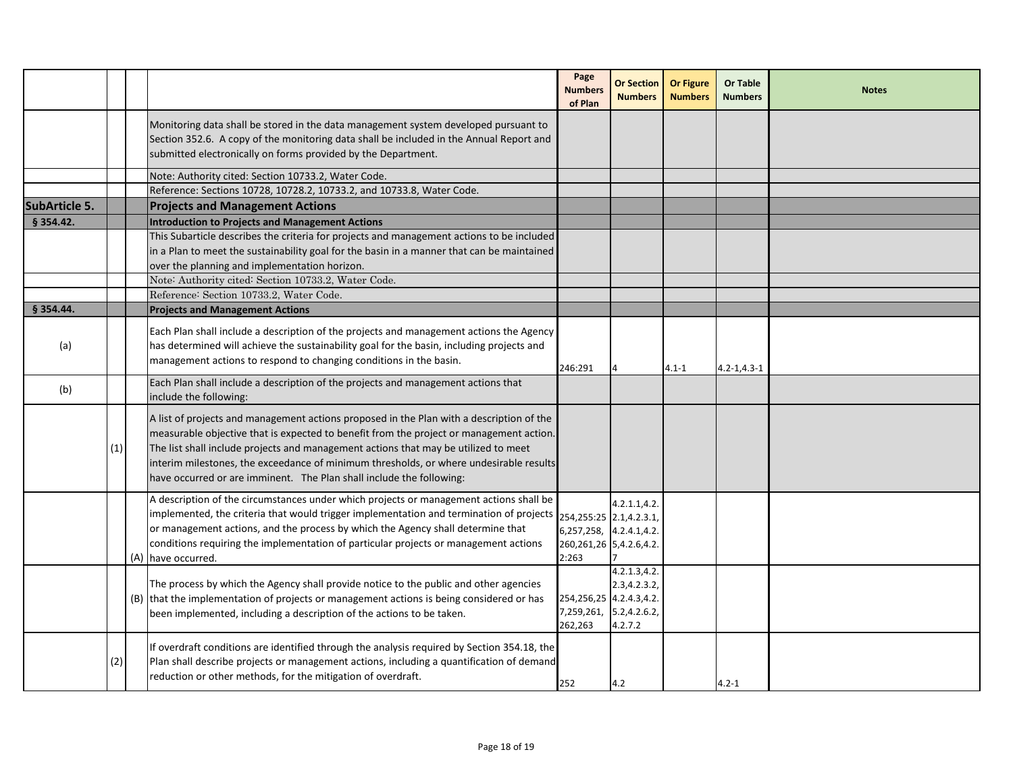|               |     |                                                                                                                                                                                                                                                                                                                                                                                                                                              | Page<br><b>Numbers</b><br>of Plan                                     | <b>Or Section</b><br><b>Numbers</b>                                                | <b>Or Figure</b><br><b>Numbers</b> | <b>Or Table</b><br><b>Numbers</b> | <b>Notes</b> |
|---------------|-----|----------------------------------------------------------------------------------------------------------------------------------------------------------------------------------------------------------------------------------------------------------------------------------------------------------------------------------------------------------------------------------------------------------------------------------------------|-----------------------------------------------------------------------|------------------------------------------------------------------------------------|------------------------------------|-----------------------------------|--------------|
|               |     | Monitoring data shall be stored in the data management system developed pursuant to<br>Section 352.6. A copy of the monitoring data shall be included in the Annual Report and<br>submitted electronically on forms provided by the Department.                                                                                                                                                                                              |                                                                       |                                                                                    |                                    |                                   |              |
|               |     | Note: Authority cited: Section 10733.2, Water Code.                                                                                                                                                                                                                                                                                                                                                                                          |                                                                       |                                                                                    |                                    |                                   |              |
| SubArticle 5. |     | Reference: Sections 10728, 10728.2, 10733.2, and 10733.8, Water Code.                                                                                                                                                                                                                                                                                                                                                                        |                                                                       |                                                                                    |                                    |                                   |              |
| § 354.42.     |     | <b>Projects and Management Actions</b><br><b>Introduction to Projects and Management Actions</b>                                                                                                                                                                                                                                                                                                                                             |                                                                       |                                                                                    |                                    |                                   |              |
|               |     | This Subarticle describes the criteria for projects and management actions to be included<br>in a Plan to meet the sustainability goal for the basin in a manner that can be maintained<br>over the planning and implementation horizon.                                                                                                                                                                                                     |                                                                       |                                                                                    |                                    |                                   |              |
|               |     | Note: Authority cited: Section 10733.2, Water Code.<br>Reference: Section 10733.2, Water Code.                                                                                                                                                                                                                                                                                                                                               |                                                                       |                                                                                    |                                    |                                   |              |
| § 354.44.     |     | <b>Projects and Management Actions</b>                                                                                                                                                                                                                                                                                                                                                                                                       |                                                                       |                                                                                    |                                    |                                   |              |
| (a)           |     | Each Plan shall include a description of the projects and management actions the Agency<br>has determined will achieve the sustainability goal for the basin, including projects and<br>management actions to respond to changing conditions in the basin.                                                                                                                                                                                   | 246:291                                                               |                                                                                    | $4.1 - 1$                          | $4.2 - 1.4.3 - 1$                 |              |
| (b)           |     | Each Plan shall include a description of the projects and management actions that<br>include the following:                                                                                                                                                                                                                                                                                                                                  |                                                                       |                                                                                    |                                    |                                   |              |
|               | (1) | A list of projects and management actions proposed in the Plan with a description of the<br>measurable objective that is expected to benefit from the project or management action.<br>The list shall include projects and management actions that may be utilized to meet<br>interim milestones, the exceedance of minimum thresholds, or where undesirable results<br>have occurred or are imminent. The Plan shall include the following: |                                                                       |                                                                                    |                                    |                                   |              |
|               |     | A description of the circumstances under which projects or management actions shall be<br>implemented, the criteria that would trigger implementation and termination of projects<br>or management actions, and the process by which the Agency shall determine that<br>conditions requiring the implementation of particular projects or management actions<br>(A) have occurred.                                                           | 254, 255: 25 2.1, 4.2.3.1,<br>260, 261, 26 5, 4. 2. 6, 4. 2.<br>2:263 | 4.2.1.1, 4.2.<br>6,257,258, 4.2.4.1,4.2.                                           |                                    |                                   |              |
|               |     | The process by which the Agency shall provide notice to the public and other agencies<br>(B) that the implementation of projects or management actions is being considered or has<br>been implemented, including a description of the actions to be taken.                                                                                                                                                                                   | 7,259,261,<br>262,263                                                 | 4.2.1.3,4.2.<br>2.3,4.2.3.2,<br>254,256,25 4.2.4.3,4.2.<br>5.2,4.2.6.2,<br>4.2.7.2 |                                    |                                   |              |
|               | (2) | If overdraft conditions are identified through the analysis required by Section 354.18, the<br>Plan shall describe projects or management actions, including a quantification of demand<br>reduction or other methods, for the mitigation of overdraft.                                                                                                                                                                                      | 252                                                                   | 4.2                                                                                |                                    | $4.2 - 1$                         |              |